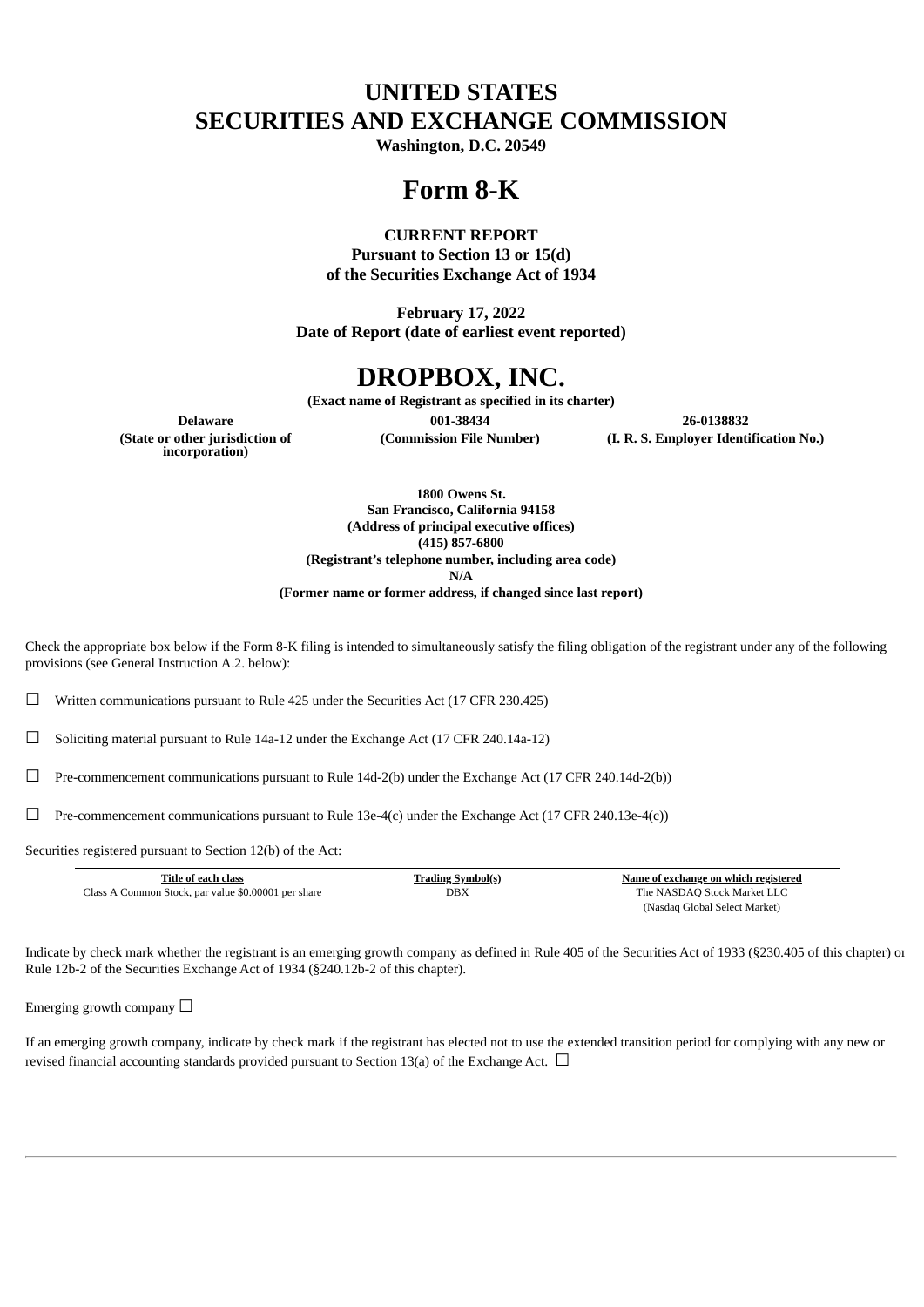# **UNITED STATES SECURITIES AND EXCHANGE COMMISSION**

**Washington, D.C. 20549**

# **Form 8-K**

## **CURRENT REPORT**

**Pursuant to Section 13 or 15(d) of the Securities Exchange Act of 1934**

**February 17, 2022 Date of Report (date of earliest event reported)**

# **DROPBOX, INC.**

**(Exact name of Registrant as specified in its charter)**

**(State or other jurisdiction of incorporation)**

**Delaware 001-38434 26-0138832**

**(Commission File Number) (I. R. S. Employer Identification No.)**

**1800 Owens St. San Francisco, California 94158 (Address of principal executive offices) (415) 857-6800 (Registrant's telephone number, including area code) N/A (Former name or former address, if changed since last report)**

Check the appropriate box below if the Form 8-K filing is intended to simultaneously satisfy the filing obligation of the registrant under any of the following provisions (see General Instruction A.2. below):

 $\Box$  Written communications pursuant to Rule 425 under the Securities Act (17 CFR 230.425)

☐ Soliciting material pursuant to Rule 14a-12 under the Exchange Act (17 CFR 240.14a-12)

☐ Pre-commencement communications pursuant to Rule 14d-2(b) under the Exchange Act (17 CFR 240.14d-2(b))

□ Pre-commencement communications pursuant to Rule 13e-4(c) under the Exchange Act (17 CFR 240.13e-4(c))

Securities registered pursuant to Section 12(b) of the Act:

| Title of each class                                 | T <u>rading Symbol(s)</u> | Name of exchange on which registered |
|-----------------------------------------------------|---------------------------|--------------------------------------|
| Class A Common Stock, par value \$0,00001 per share | DBX                       | The NASDAO Stock Market LLC          |
|                                                     |                           | (Nasdaq Global Select Market)        |

Indicate by check mark whether the registrant is an emerging growth company as defined in Rule 405 of the Securities Act of 1933 (§230.405 of this chapter) or Rule 12b-2 of the Securities Exchange Act of 1934 (§240.12b-2 of this chapter).

Emerging growth company  $\Box$ 

If an emerging growth company, indicate by check mark if the registrant has elected not to use the extended transition period for complying with any new or revised financial accounting standards provided pursuant to Section 13(a) of the Exchange Act.  $\Box$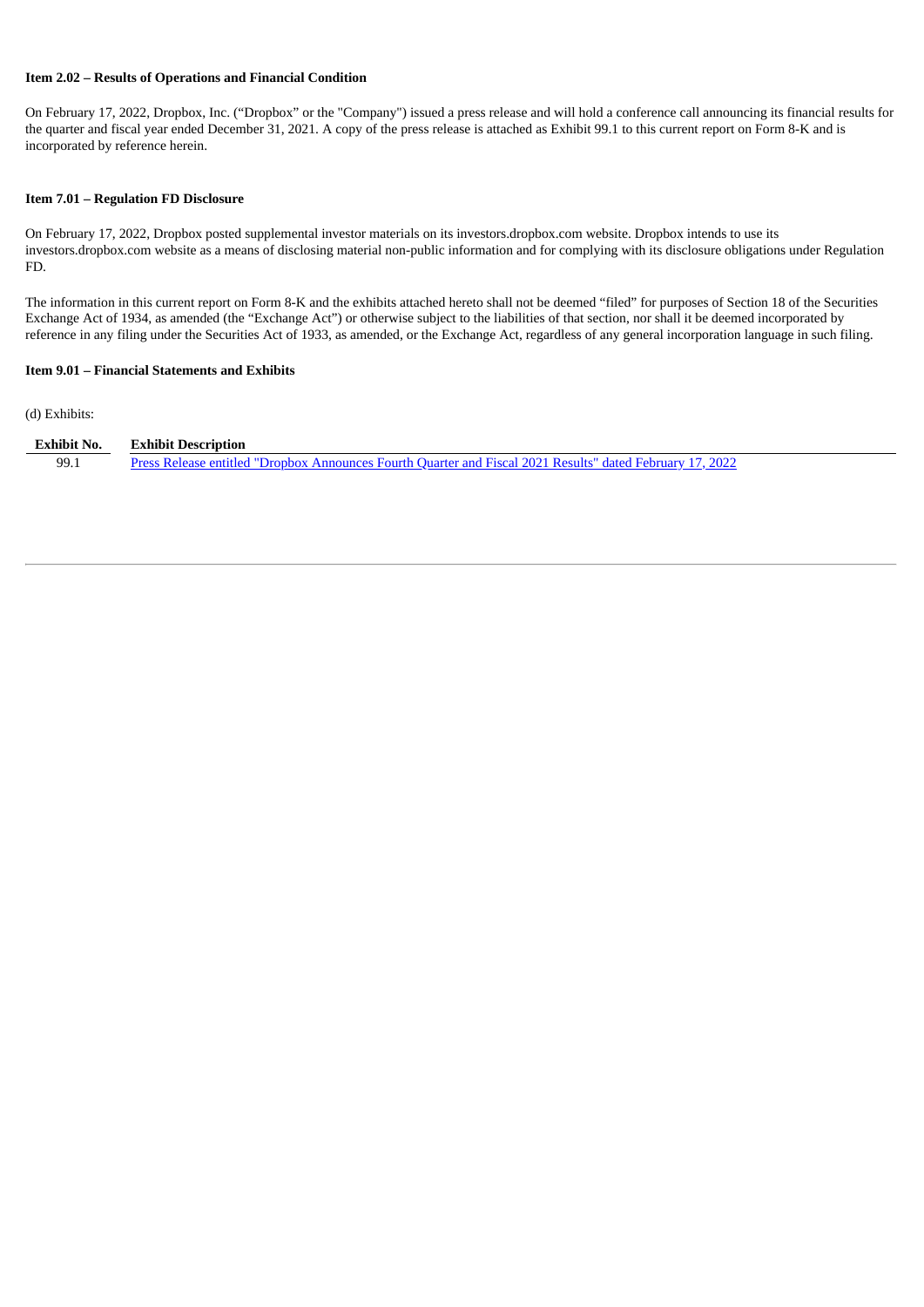#### **Item 2.02 – Results of Operations and Financial Condition**

On February 17, 2022, Dropbox, Inc. ("Dropbox" or the "Company") issued a press release and will hold a conference call announcing its financial results for the quarter and fiscal year ended December 31, 2021. A copy of the press release is attached as Exhibit 99.1 to this current report on Form 8-K and is incorporated by reference herein.

#### **Item 7.01 – Regulation FD Disclosure**

On February 17, 2022, Dropbox posted supplemental investor materials on its investors.dropbox.com website. Dropbox intends to use its investors.dropbox.com website as a means of disclosing material non-public information and for complying with its disclosure obligations under Regulation FD.

The information in this current report on Form 8-K and the exhibits attached hereto shall not be deemed "filed" for purposes of Section 18 of the Securities Exchange Act of 1934, as amended (the "Exchange Act") or otherwise subject to the liabilities of that section, nor shall it be deemed incorporated by reference in any filing under the Securities Act of 1933, as amended, or the Exchange Act, regardless of any general incorporation language in such filing.

#### **Item 9.01 – Financial Statements and Exhibits**

(d) Exhibits:

| Exhibit No. | <b>Exhibit Description</b>                                                                                |
|-------------|-----------------------------------------------------------------------------------------------------------|
| 99.1        | Press Release entitled "Dropbox Announces Fourth Ouarter and Fiscal 2021 Results" dated February 17, 2022 |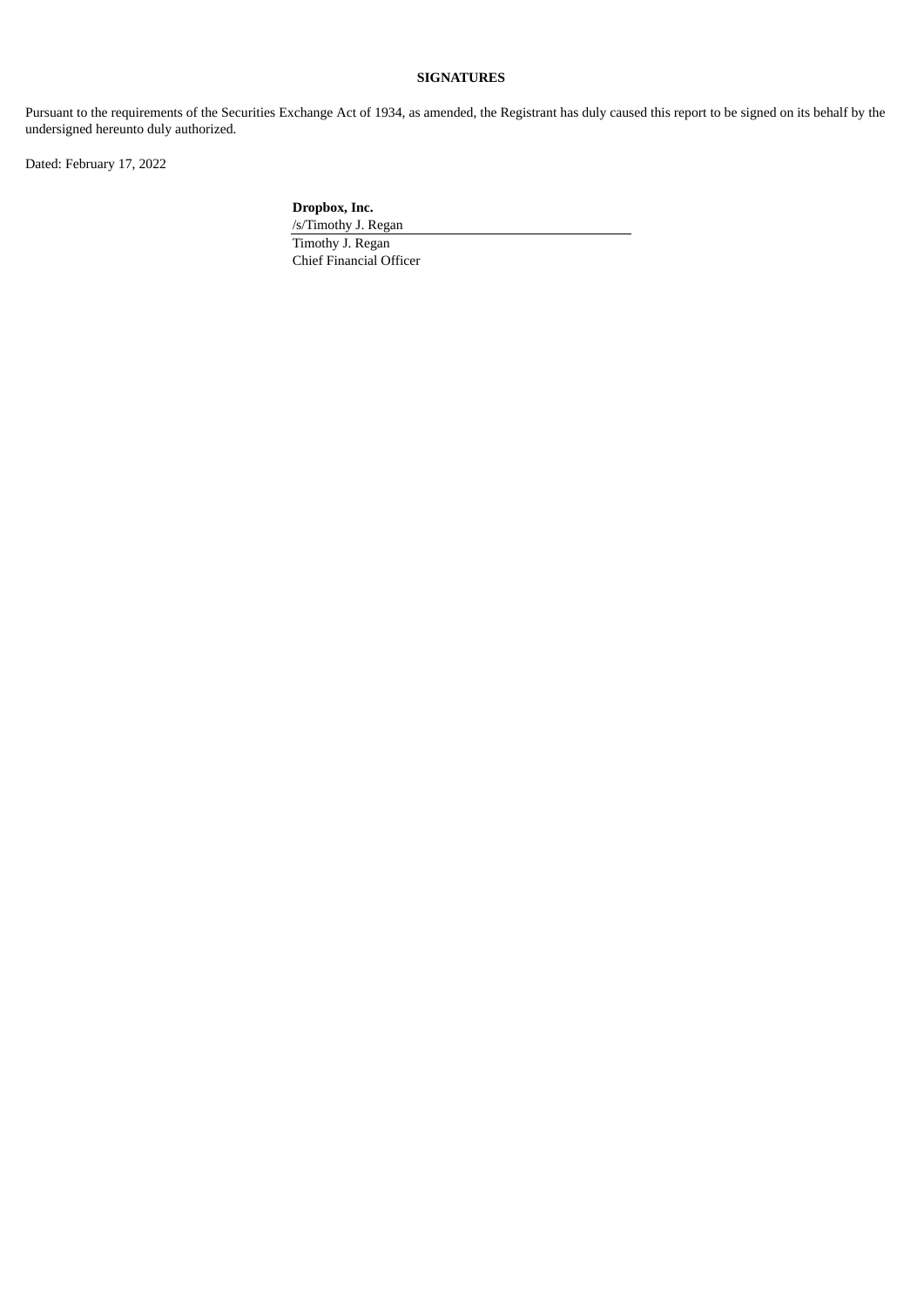# **SIGNATURES**

Pursuant to the requirements of the Securities Exchange Act of 1934, as amended, the Registrant has duly caused this report to be signed on its behalf by the undersigned hereunto duly authorized.

Dated: February 17, 2022

**Dropbox, Inc.**

/s/Timothy J. Regan Timothy J. Regan Chief Financial Officer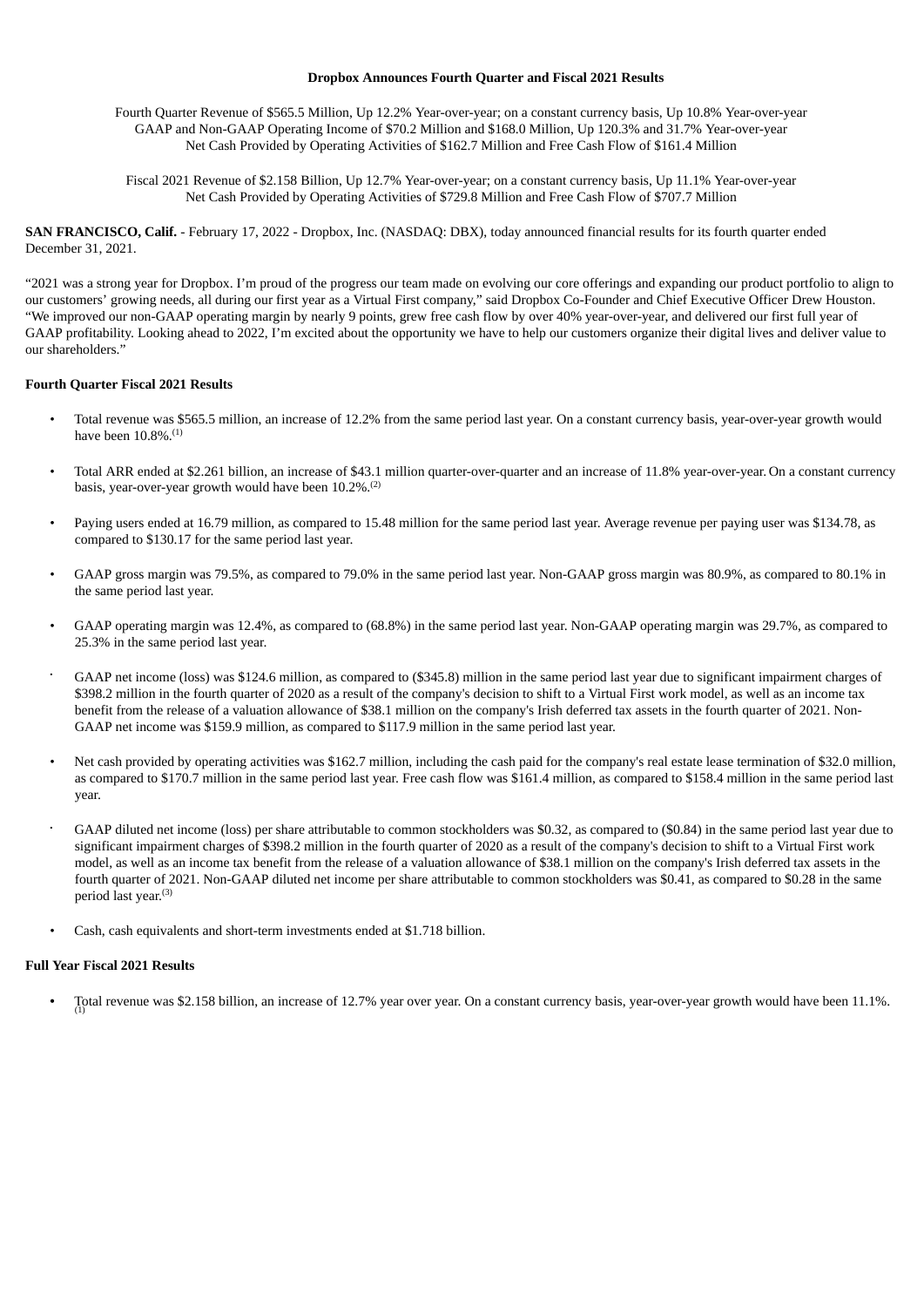#### **Dropbox Announces Fourth Quarter and Fiscal 2021 Results**

<span id="page-3-0"></span>Fourth Quarter Revenue of \$565.5 Million, Up 12.2% Year-over-year; on a constant currency basis, Up 10.8% Year-over-year GAAP and Non-GAAP Operating Income of \$70.2 Million and \$168.0 Million, Up 120.3% and 31.7% Year-over-year Net Cash Provided by Operating Activities of \$162.7 Million and Free Cash Flow of \$161.4 Million

Fiscal 2021 Revenue of \$2.158 Billion, Up 12.7% Year-over-year; on a constant currency basis, Up 11.1% Year-over-year Net Cash Provided by Operating Activities of \$729.8 Million and Free Cash Flow of \$707.7 Million

**SAN FRANCISCO, Calif.** - February 17, 2022 - Dropbox, Inc. (NASDAQ: DBX), today announced financial results for its fourth quarter ended December 31, 2021.

"2021 was a strong year for Dropbox. I'm proud of the progress our team made on evolving our core offerings and expanding our product portfolio to align to our customers' growing needs, all during our first year as a Virtual First company," said Dropbox Co-Founder and Chief Executive Officer Drew Houston. "We improved our non-GAAP operating margin by nearly 9 points, grew free cash flow by over 40% year-over-year, and delivered our first full year of GAAP profitability. Looking ahead to 2022, I'm excited about the opportunity we have to help our customers organize their digital lives and deliver value to our shareholders."

#### **Fourth Quarter Fiscal 2021 Results**

- Total revenue was \$565.5 million, an increase of 12.2% from the same period last year. On a constant currency basis, year-over-year growth would have been 10.8%. (1)
- Total ARR ended at \$2.261 billion, an increase of \$43.1 million quarter-over-quarter and an increase of 11.8% year-over-year. On a constant currency basis, year-over-year growth would have been 10.2%.<sup>(2)</sup>
- Paying users ended at 16.79 million, as compared to 15.48 million for the same period last year. Average revenue per paying user was \$134.78, as compared to \$130.17 for the same period last year.
- GAAP gross margin was 79.5%, as compared to 79.0% in the same period last year. Non-GAAP gross margin was 80.9%, as compared to 80.1% in the same period last year.
- GAAP operating margin was 12.4%, as compared to (68.8%) in the same period last year. Non-GAAP operating margin was 29.7%, as compared to 25.3% in the same period last year.
- GAAP net income (loss) was \$124.6 million, as compared to (\$345.8) million in the same period last year due to significant impairment charges of \$398.2 million in the fourth quarter of 2020 as a result of the company's decision to shift to a Virtual First work model, as well as an income tax benefit from the release of a valuation allowance of \$38.1 million on the company's Irish deferred tax assets in the fourth quarter of 2021. Non-GAAP net income was \$159.9 million, as compared to \$117.9 million in the same period last year. •
- Net cash provided by operating activities was \$162.7 million, including the cash paid for the company's real estate lease termination of \$32.0 million, as compared to \$170.7 million in the same period last year. Free cash flow was \$161.4 million, as compared to \$158.4 million in the same period last year.
- GAAP diluted net income (loss) per share attributable to common stockholders was \$0.32, as compared to (\$0.84) in the same period last year due to significant impairment charges of \$398.2 million in the fourth quarter of 2020 as a result of the company's decision to shift to a Virtual First work model, as well as an income tax benefit from the release of a valuation allowance of \$38.1 million on the company's Irish deferred tax assets in the fourth quarter of 2021. Non-GAAP diluted net income per share attributable to common stockholders was \$0.41, as compared to \$0.28 in the same period last year. (3) •
- Cash, cash equivalents and short-term investments ended at \$1.718 billion.

#### **Full Year Fiscal 2021 Results**

• Total revenue was \$2.158 billion, an increase of 12.7% year over year. On a constant currency basis, year-over-year growth would have been 11.1%.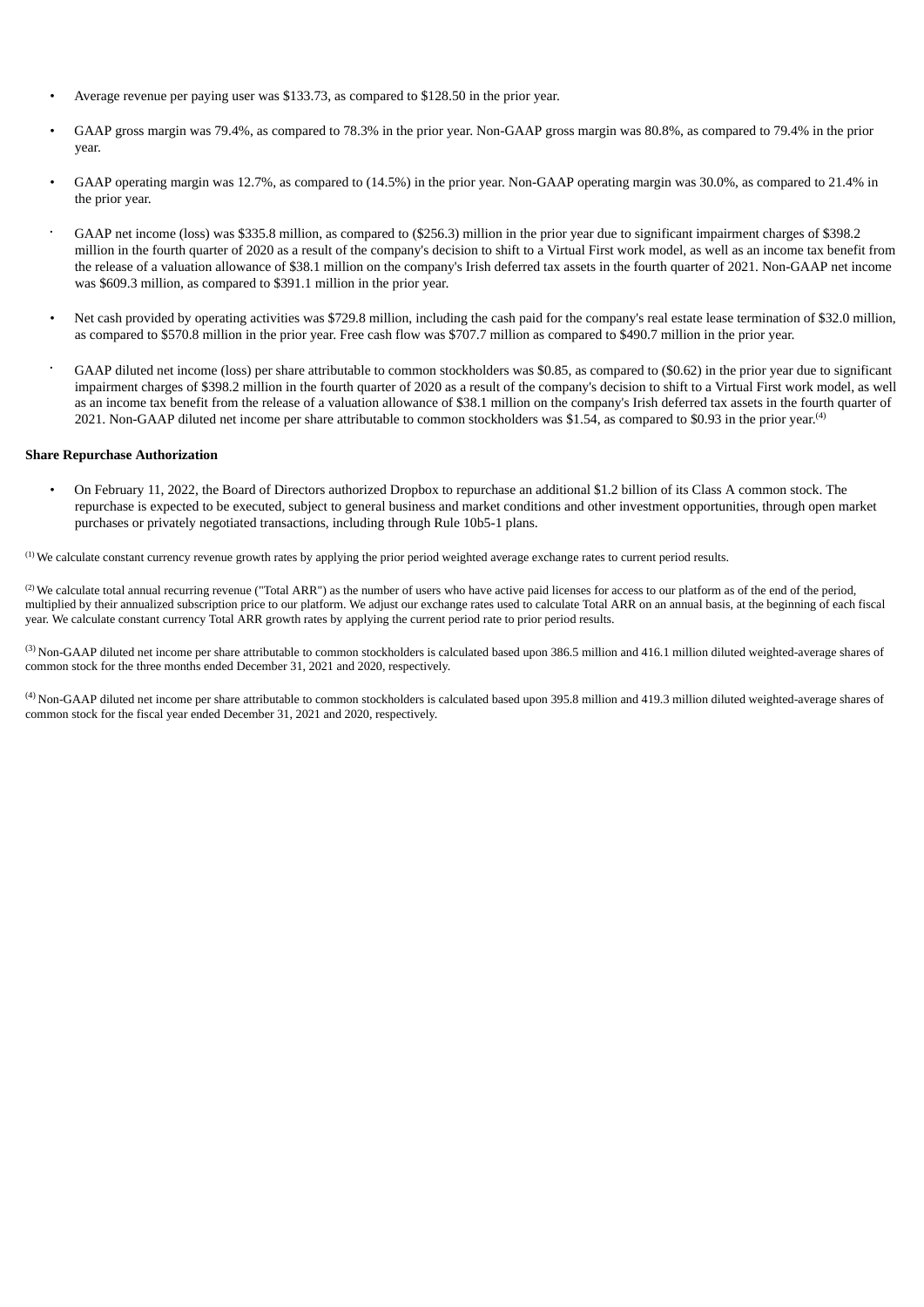- Average revenue per paying user was \$133.73, as compared to \$128.50 in the prior year.
- GAAP gross margin was 79.4%, as compared to 78.3% in the prior year. Non-GAAP gross margin was 80.8%, as compared to 79.4% in the prior year.
- GAAP operating margin was 12.7%, as compared to (14.5%) in the prior year. Non-GAAP operating margin was 30.0%, as compared to 21.4% in the prior year.
- GAAP net income (loss) was \$335.8 million, as compared to (\$256.3) million in the prior year due to significant impairment charges of \$398.2 million in the fourth quarter of 2020 as a result of the company's decision to shift to a Virtual First work model, as well as an income tax benefit from the release of a valuation allowance of \$38.1 million on the company's Irish deferred tax assets in the fourth quarter of 2021. Non-GAAP net income was \$609.3 million, as compared to \$391.1 million in the prior year. •
- Net cash provided by operating activities was \$729.8 million, including the cash paid for the company's real estate lease termination of \$32.0 million, as compared to \$570.8 million in the prior year. Free cash flow was \$707.7 million as compared to \$490.7 million in the prior year.
- GAAP diluted net income (loss) per share attributable to common stockholders was \$0.85, as compared to (\$0.62) in the prior year due to significant impairment charges of \$398.2 million in the fourth quarter of 2020 as a result of the company's decision to shift to a Virtual First work model, as well as an income tax benefit from the release of a valuation allowance of \$38.1 million on the company's Irish deferred tax assets in the fourth quarter of 2021. Non-GAAP diluted net income per share attributable to common stockholders was \$1.54, as compared to \$0.93 in the prior year.<sup>(4)</sup> •

#### **Share Repurchase Authorization**

• On February 11, 2022, the Board of Directors authorized Dropbox to repurchase an additional \$1.2 billion of its Class A common stock. The repurchase is expected to be executed, subject to general business and market conditions and other investment opportunities, through open market purchases or privately negotiated transactions, including through Rule 10b5-1 plans.

 $<sup>(1)</sup>$  We calculate constant currency revenue growth rates by applying the prior period weighted average exchange rates to current period results.</sup>

 $^{(2)}$  We calculate total annual recurring revenue ("Total ARR") as the number of users who have active paid licenses for access to our platform as of the end of the period, multiplied by their annualized subscription price to our platform. We adjust our exchange rates used to calculate Total ARR on an annual basis, at the beginning of each fiscal year. We calculate constant currency Total ARR growth rates by applying the current period rate to prior period results.

 $^{(3)}$  Non-GAAP diluted net income per share attributable to common stockholders is calculated based upon 386.5 million and 416.1 million diluted weighted-average shares of common stock for the three months ended December 31, 2021 and 2020, respectively.

 $^{(4)}$  Non-GAAP diluted net income per share attributable to common stockholders is calculated based upon 395.8 million and 419.3 million diluted weighted-average shares of common stock for the fiscal year ended December 31, 2021 and 2020, respectively.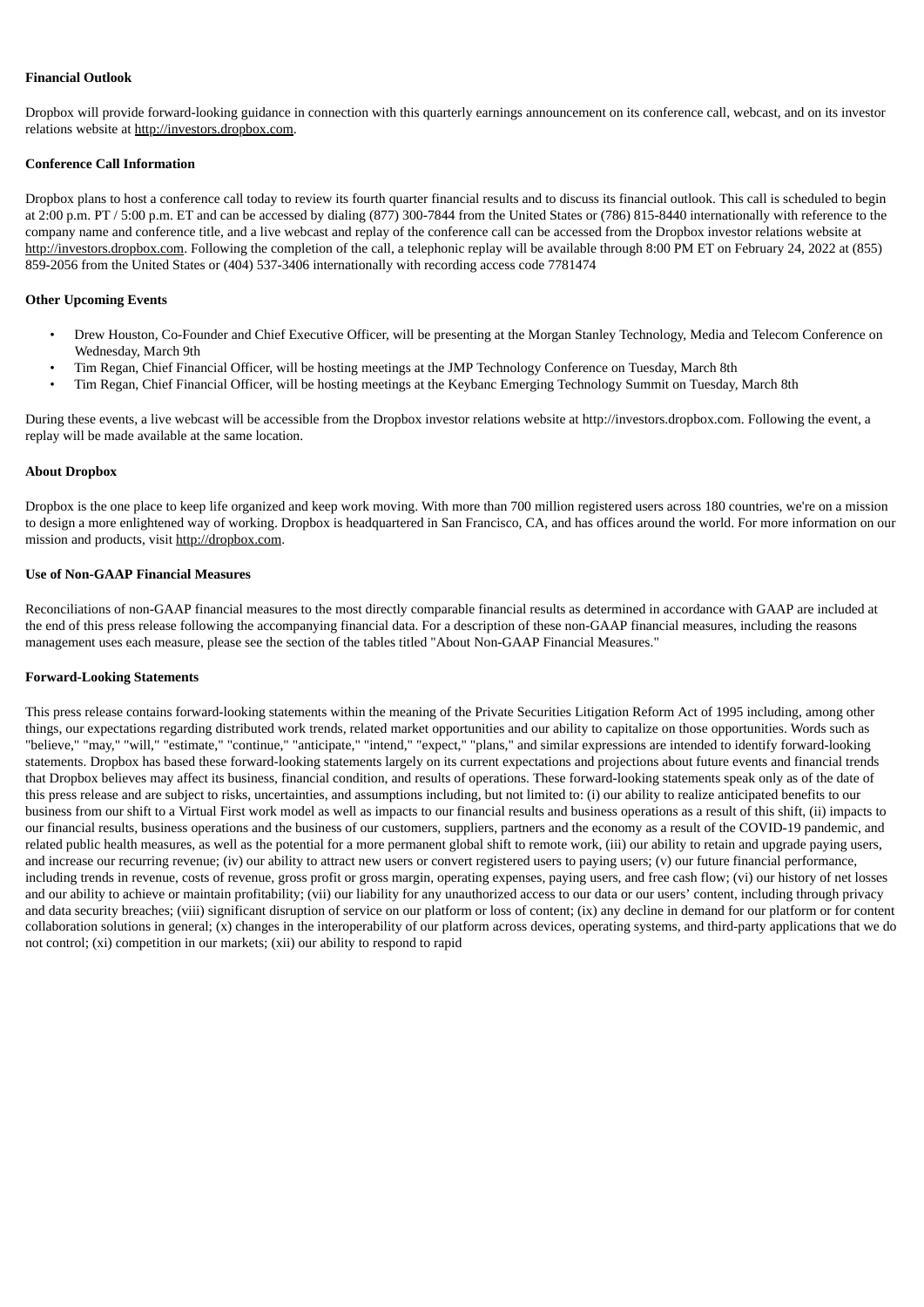#### **Financial Outlook**

Dropbox will provide forward-looking guidance in connection with this quarterly earnings announcement on its conference call, webcast, and on its investor relations website at http://investors.dropbox.com.

#### **Conference Call Information**

Dropbox plans to host a conference call today to review its fourth quarter financial results and to discuss its financial outlook. This call is scheduled to begin at 2:00 p.m. PT / 5:00 p.m. ET and can be accessed by dialing (877) 300-7844 from the United States or (786) 815-8440 internationally with reference to the company name and conference title, and a live webcast and replay of the conference call can be accessed from the Dropbox investor relations website at http://investors.dropbox.com. Following the completion of the call, a telephonic replay will be available through 8:00 PM ET on February 24, 2022 at (855) 859-2056 from the United States or (404) 537-3406 internationally with recording access code 7781474

#### **Other Upcoming Events**

- Drew Houston, Co-Founder and Chief Executive Officer, will be presenting at the Morgan Stanley Technology, Media and Telecom Conference on Wednesday, March 9th
- Tim Regan, Chief Financial Officer, will be hosting meetings at the JMP Technology Conference on Tuesday, March 8th
- Tim Regan, Chief Financial Officer, will be hosting meetings at the Keybanc Emerging Technology Summit on Tuesday, March 8th

During these events, a live webcast will be accessible from the Dropbox investor relations website at http://investors.dropbox.com. Following the event, a replay will be made available at the same location.

#### **About Dropbox**

Dropbox is the one place to keep life organized and keep work moving. With more than 700 million registered users across 180 countries, we're on a mission to design a more enlightened way of working. Dropbox is headquartered in San Francisco, CA, and has offices around the world. For more information on our mission and products, visit http://dropbox.com.

#### **Use of Non-GAAP Financial Measures**

Reconciliations of non-GAAP financial measures to the most directly comparable financial results as determined in accordance with GAAP are included at the end of this press release following the accompanying financial data. For a description of these non-GAAP financial measures, including the reasons management uses each measure, please see the section of the tables titled "About Non-GAAP Financial Measures."

#### **Forward-Looking Statements**

This press release contains forward-looking statements within the meaning of the Private Securities Litigation Reform Act of 1995 including, among other things, our expectations regarding distributed work trends, related market opportunities and our ability to capitalize on those opportunities. Words such as "believe," "may," "will," "estimate," "continue," "anticipate," "intend," "expect," "plans," and similar expressions are intended to identify forward-looking statements. Dropbox has based these forward-looking statements largely on its current expectations and projections about future events and financial trends that Dropbox believes may affect its business, financial condition, and results of operations. These forward-looking statements speak only as of the date of this press release and are subject to risks, uncertainties, and assumptions including, but not limited to: (i) our ability to realize anticipated benefits to our business from our shift to a Virtual First work model as well as impacts to our financial results and business operations as a result of this shift, (ii) impacts to our financial results, business operations and the business of our customers, suppliers, partners and the economy as a result of the COVID-19 pandemic, and related public health measures, as well as the potential for a more permanent global shift to remote work, (iii) our ability to retain and upgrade paying users, and increase our recurring revenue; (iv) our ability to attract new users or convert registered users to paying users; (v) our future financial performance, including trends in revenue, costs of revenue, gross profit or gross margin, operating expenses, paying users, and free cash flow; (vi) our history of net losses and our ability to achieve or maintain profitability; (vii) our liability for any unauthorized access to our data or our users' content, including through privacy and data security breaches; (viii) significant disruption of service on our platform or loss of content; (ix) any decline in demand for our platform or for content collaboration solutions in general; (x) changes in the interoperability of our platform across devices, operating systems, and third-party applications that we do not control; (xi) competition in our markets; (xii) our ability to respond to rapid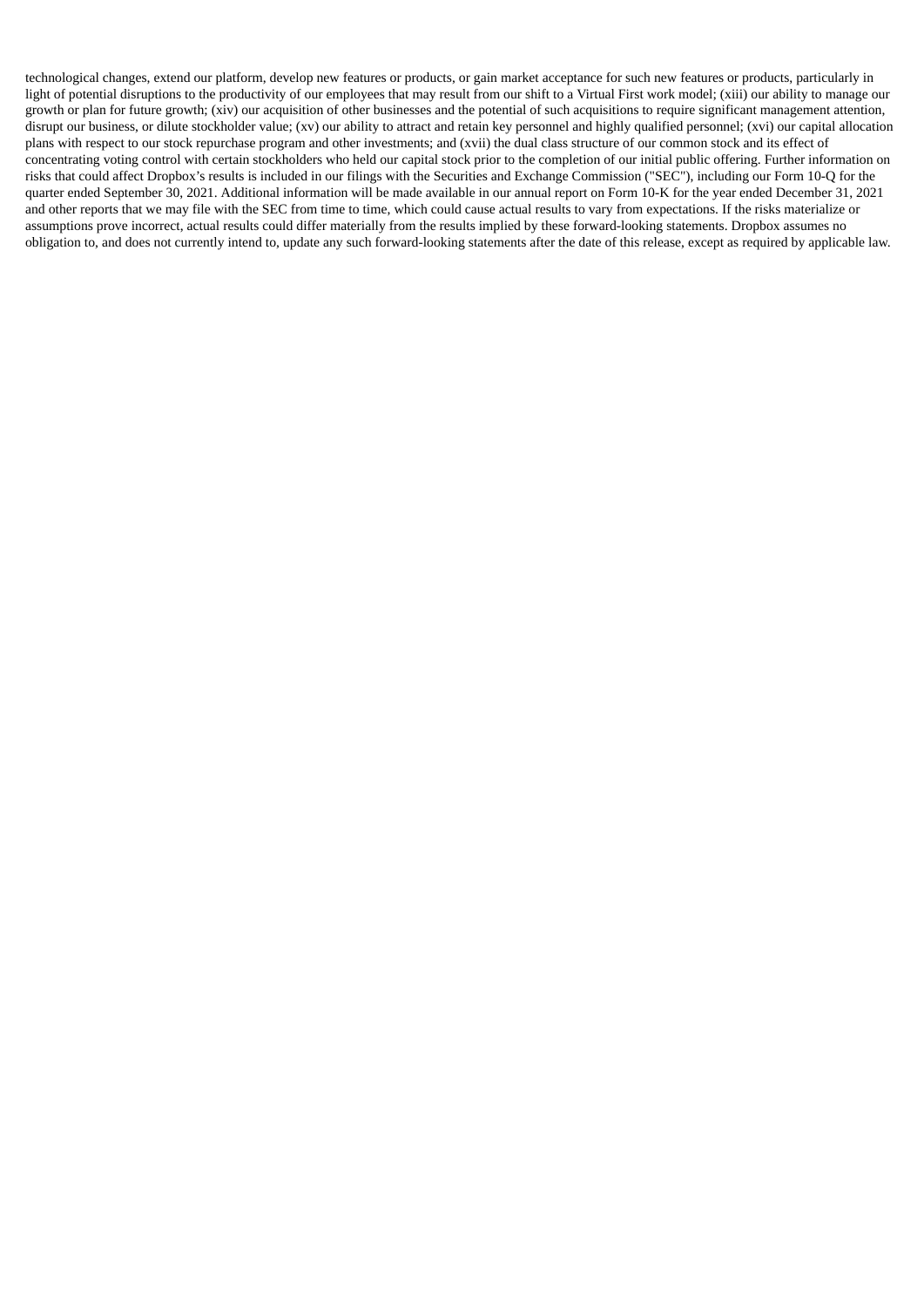technological changes, extend our platform, develop new features or products, or gain market acceptance for such new features or products, particularly in light of potential disruptions to the productivity of our employees that may result from our shift to a Virtual First work model; (xiii) our ability to manage our growth or plan for future growth; (xiv) our acquisition of other businesses and the potential of such acquisitions to require significant management attention, disrupt our business, or dilute stockholder value; (xv) our ability to attract and retain key personnel and highly qualified personnel; (xvi) our capital allocation plans with respect to our stock repurchase program and other investments; and (xvii) the dual class structure of our common stock and its effect of concentrating voting control with certain stockholders who held our capital stock prior to the completion of our initial public offering. Further information on risks that could affect Dropbox's results is included in our filings with the Securities and Exchange Commission ("SEC"), including our Form 10-Q for the quarter ended September 30, 2021. Additional information will be made available in our annual report on Form 10-K for the year ended December 31, 2021 and other reports that we may file with the SEC from time to time, which could cause actual results to vary from expectations. If the risks materialize or assumptions prove incorrect, actual results could differ materially from the results implied by these forward-looking statements. Dropbox assumes no obligation to, and does not currently intend to, update any such forward-looking statements after the date of this release, except as required by applicable law.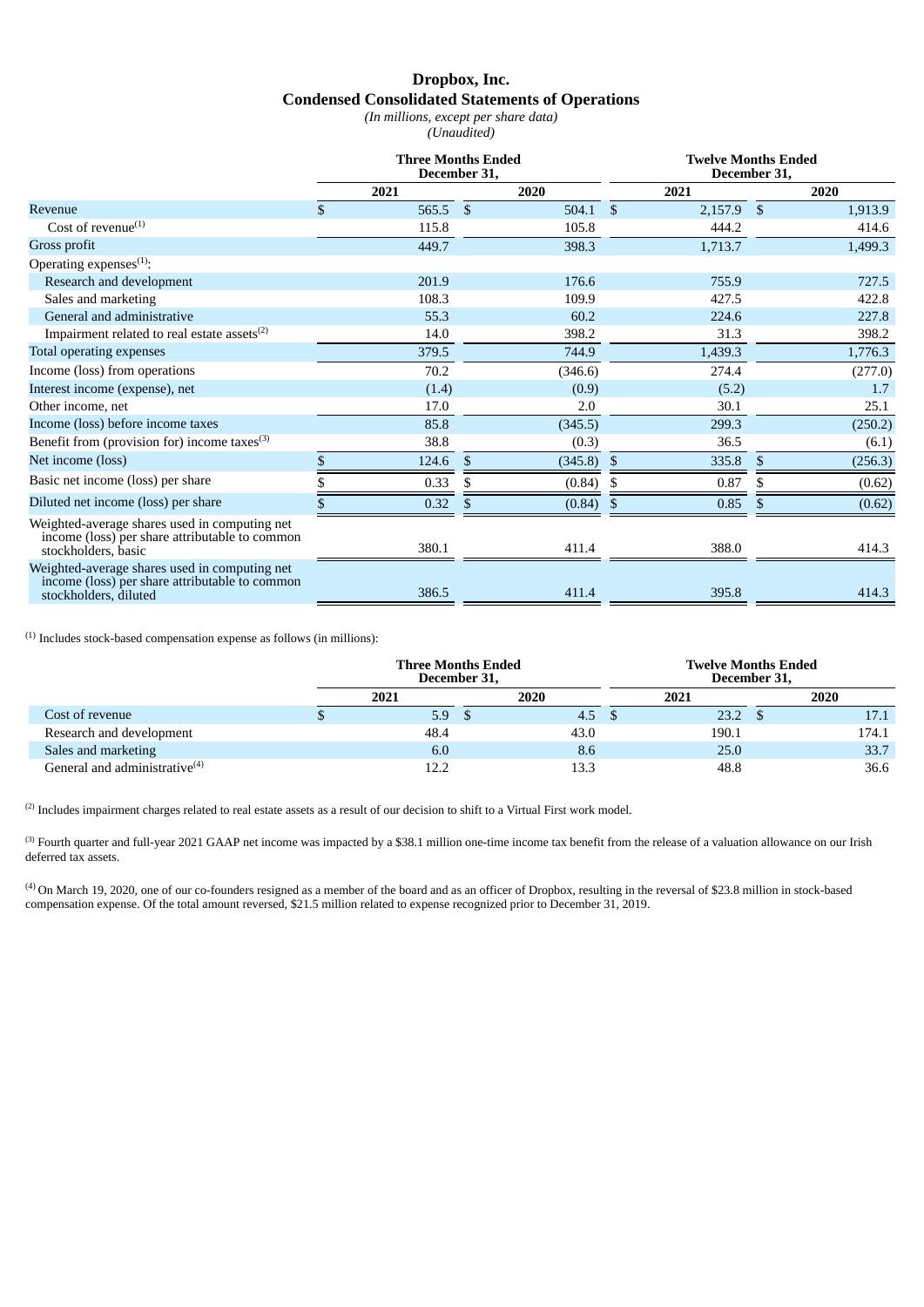# **Dropbox, Inc. Condensed Consolidated Statements of Operations**

*(In millions, except per share data)*

*(Unaudited)*

|                                                                                                                          | <b>Three Months Ended</b><br>December 31, |              |            |     | <b>Twelve Months Ended</b><br>December 31, |              |         |  |  |
|--------------------------------------------------------------------------------------------------------------------------|-------------------------------------------|--------------|------------|-----|--------------------------------------------|--------------|---------|--|--|
|                                                                                                                          | 2021                                      |              | 2020       |     | 2021                                       |              | 2020    |  |  |
| Revenue                                                                                                                  | \$<br>565.5 \$                            |              | $504.1$ \$ |     | $2,157.9$ \$                               |              | 1,913.9 |  |  |
| Cost of revenue $^{(1)}$                                                                                                 | 115.8                                     |              | 105.8      |     | 444.2                                      |              | 414.6   |  |  |
| Gross profit                                                                                                             | 449.7                                     |              | 398.3      |     | 1,713.7                                    |              | 1,499.3 |  |  |
| Operating expenses $(1)$ :                                                                                               |                                           |              |            |     |                                            |              |         |  |  |
| Research and development                                                                                                 | 201.9                                     |              | 176.6      |     | 755.9                                      |              | 727.5   |  |  |
| Sales and marketing                                                                                                      | 108.3                                     |              | 109.9      |     | 427.5                                      |              | 422.8   |  |  |
| General and administrative                                                                                               | 55.3                                      |              | 60.2       |     | 224.6                                      |              | 227.8   |  |  |
| Impairment related to real estate assets $^{(2)}$                                                                        | 14.0                                      |              | 398.2      |     | 31.3                                       |              | 398.2   |  |  |
| Total operating expenses                                                                                                 | 379.5                                     |              | 744.9      |     | 1,439.3                                    |              | 1,776.3 |  |  |
| Income (loss) from operations                                                                                            | 70.2                                      |              | (346.6)    |     | 274.4                                      |              | (277.0) |  |  |
| Interest income (expense), net                                                                                           | (1.4)                                     |              | (0.9)      |     | (5.2)                                      |              | 1.7     |  |  |
| Other income, net                                                                                                        | 17.0                                      |              | 2.0        |     | 30.1                                       |              | 25.1    |  |  |
| Income (loss) before income taxes                                                                                        | 85.8                                      |              | (345.5)    |     | 299.3                                      |              | (250.2) |  |  |
| Benefit from (provision for) income taxes $^{(3)}$                                                                       | 38.8                                      |              | (0.3)      |     | 36.5                                       |              | (6.1)   |  |  |
| Net income (loss)                                                                                                        | \$<br>124.6                               | $\mathbb{S}$ | (345.8)    | -\$ | 335.8                                      | $\mathbb{S}$ | (256.3) |  |  |
| Basic net income (loss) per share                                                                                        | 0.33                                      |              | (0.84)     |     | 0.87                                       |              | (0.62)  |  |  |
| Diluted net income (loss) per share                                                                                      | 0.32                                      | Ж            | (0.84)     | ა   | 0.85                                       | $\mathbf{a}$ | (0.62)  |  |  |
| Weighted-average shares used in computing net<br>income (loss) per share attributable to common<br>stockholders, basic   | 380.1                                     |              | 411.4      |     | 388.0                                      |              | 414.3   |  |  |
| Weighted-average shares used in computing net<br>income (loss) per share attributable to common<br>stockholders, diluted | 386.5                                     |              | 411.4      |     | 395.8                                      |              | 414.3   |  |  |

 $(1)$  Includes stock-based compensation expense as follows (in millions):

|                                           | <b>Three Months Ended</b><br>December 31, |      |      | <b>Twelve Months Ended</b><br>December 31, |  |       |
|-------------------------------------------|-------------------------------------------|------|------|--------------------------------------------|--|-------|
|                                           | 2021                                      | 2020 | 2021 |                                            |  | 2020  |
| Cost of revenue                           | 5.9                                       | 4.5  |      | 23.2                                       |  | 17.1  |
| Research and development                  | 48.4                                      | 43.0 |      | 190.1                                      |  | 174.1 |
| Sales and marketing                       | 6.0                                       | 8.6  |      | 25.0                                       |  | 33.7  |
| General and administrative <sup>(4)</sup> | 12.2                                      | 13.3 |      | 48.8                                       |  | 36.6  |

 $^{(2)}$  Includes impairment charges related to real estate assets as a result of our decision to shift to a Virtual First work model.

 $^{(3)}$  Fourth quarter and full-year 2021 GAAP net income was impacted by a \$38.1 million one-time income tax benefit from the release of a valuation allowance on our Irish deferred tax assets.

<sup>(4)</sup> On March 19, 2020, one of our co-founders resigned as a member of the board and as an officer of Dropbox, resulting in the reversal of \$23.8 million in stock-based compensation expense. Of the total amount reversed, \$21.5 million related to expense recognized prior to December 31, 2019.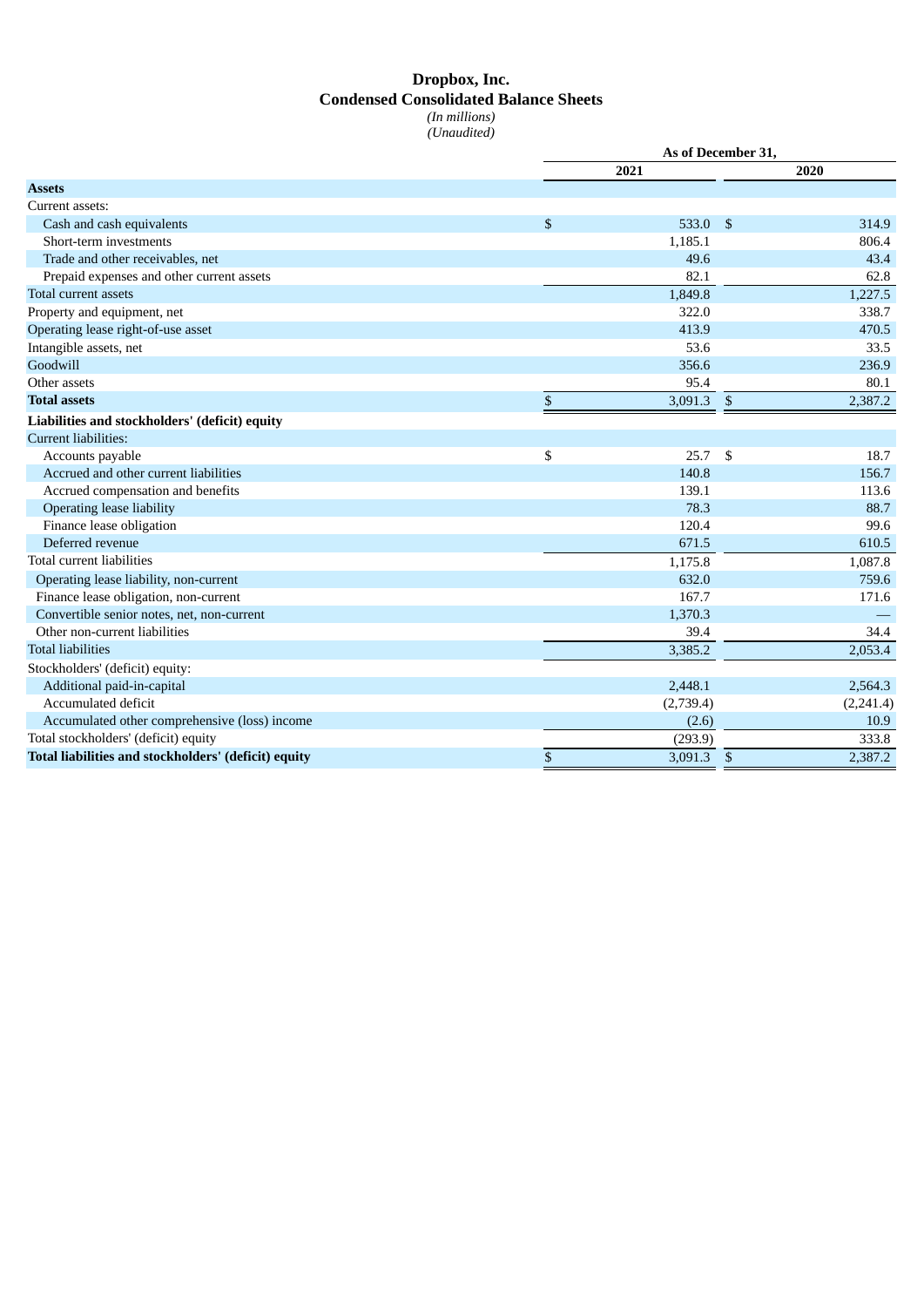# **Dropbox, Inc. Condensed Consolidated Balance Sheets** *(In millions) (Unaudited)*

|                                                      | As of December 31, |           |                |           |  |  |  |  |
|------------------------------------------------------|--------------------|-----------|----------------|-----------|--|--|--|--|
|                                                      |                    | 2021      |                | 2020      |  |  |  |  |
| <b>Assets</b>                                        |                    |           |                |           |  |  |  |  |
| Current assets:                                      |                    |           |                |           |  |  |  |  |
| Cash and cash equivalents                            | \$                 | 533.0     | -\$            | 314.9     |  |  |  |  |
| Short-term investments                               |                    | 1,185.1   |                | 806.4     |  |  |  |  |
| Trade and other receivables, net                     |                    | 49.6      |                | 43.4      |  |  |  |  |
| Prepaid expenses and other current assets            |                    | 82.1      |                | 62.8      |  |  |  |  |
| Total current assets                                 |                    | 1,849.8   |                | 1,227.5   |  |  |  |  |
| Property and equipment, net                          |                    | 322.0     |                | 338.7     |  |  |  |  |
| Operating lease right-of-use asset                   |                    | 413.9     |                | 470.5     |  |  |  |  |
| Intangible assets, net                               |                    | 53.6      |                | 33.5      |  |  |  |  |
| Goodwill                                             |                    | 356.6     |                | 236.9     |  |  |  |  |
| Other assets                                         |                    | 95.4      |                | 80.1      |  |  |  |  |
| <b>Total assets</b>                                  | $\mathbb{S}$       | 3,091.3   | \$             | 2,387.2   |  |  |  |  |
| Liabilities and stockholders' (deficit) equity       |                    |           |                |           |  |  |  |  |
| <b>Current liabilities:</b>                          |                    |           |                |           |  |  |  |  |
| Accounts payable                                     | \$                 | 25.7      | \$             | 18.7      |  |  |  |  |
| Accrued and other current liabilities                |                    | 140.8     |                | 156.7     |  |  |  |  |
| Accrued compensation and benefits                    |                    | 139.1     |                | 113.6     |  |  |  |  |
| <b>Operating lease liability</b>                     |                    | 78.3      |                | 88.7      |  |  |  |  |
| Finance lease obligation                             |                    | 120.4     |                | 99.6      |  |  |  |  |
| Deferred revenue                                     |                    | 671.5     |                | 610.5     |  |  |  |  |
| Total current liabilities                            |                    | 1,175.8   |                | 1,087.8   |  |  |  |  |
| Operating lease liability, non-current               |                    | 632.0     |                | 759.6     |  |  |  |  |
| Finance lease obligation, non-current                |                    | 167.7     |                | 171.6     |  |  |  |  |
| Convertible senior notes, net, non-current           |                    | 1,370.3   |                |           |  |  |  |  |
| Other non-current liabilities                        |                    | 39.4      |                | 34.4      |  |  |  |  |
| <b>Total liabilities</b>                             |                    | 3,385.2   |                | 2,053.4   |  |  |  |  |
| Stockholders' (deficit) equity:                      |                    |           |                |           |  |  |  |  |
| Additional paid-in-capital                           |                    | 2,448.1   |                | 2,564.3   |  |  |  |  |
| Accumulated deficit                                  |                    | (2,739.4) |                | (2,241.4) |  |  |  |  |
| Accumulated other comprehensive (loss) income        |                    | (2.6)     |                | 10.9      |  |  |  |  |
| Total stockholders' (deficit) equity                 |                    | (293.9)   |                | 333.8     |  |  |  |  |
| Total liabilities and stockholders' (deficit) equity | \$                 | 3,091.3   | $\mathfrak{s}$ | 2,387.2   |  |  |  |  |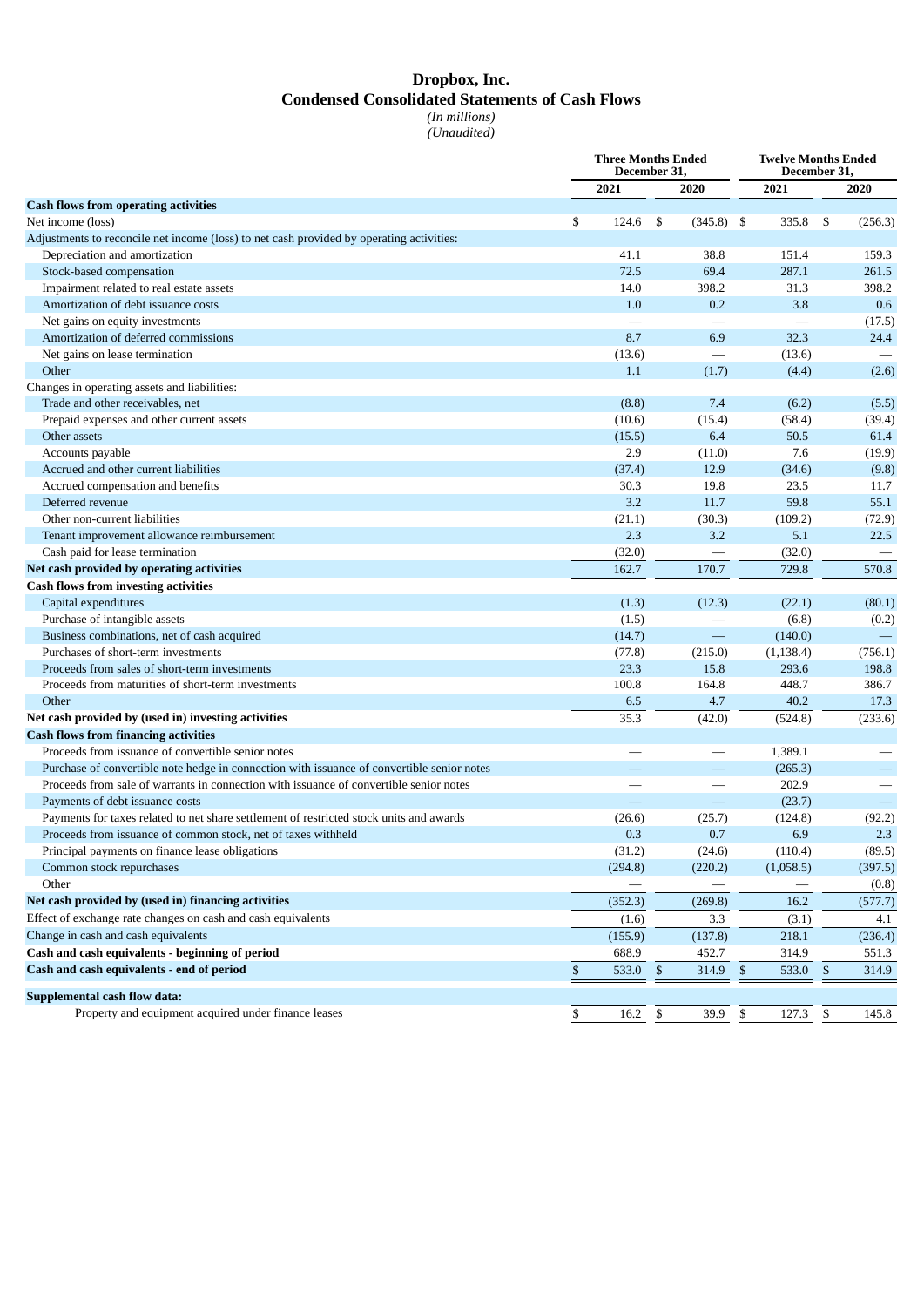# **Dropbox, Inc. Condensed Consolidated Statements of Cash Flows** *(In millions)*

*(Unaudited)*

|                                                                                            | <b>Three Months Ended</b><br>December 31,<br>2021<br>2020<br>\$<br>124.6<br>\$<br>41.1<br>72.5<br>14.0<br>1.0<br>8.7<br>(13.6)<br>1.1 |                          |    |                               | <b>Twelve Months Ended</b><br>December 31, |                          |
|--------------------------------------------------------------------------------------------|---------------------------------------------------------------------------------------------------------------------------------------|--------------------------|----|-------------------------------|--------------------------------------------|--------------------------|
|                                                                                            |                                                                                                                                       |                          |    |                               | 2021                                       | 2020                     |
| <b>Cash flows from operating activities</b>                                                |                                                                                                                                       |                          |    |                               |                                            |                          |
| Net income (loss)                                                                          |                                                                                                                                       |                          |    | $(345.8)$ \$                  | 335.8                                      | \$<br>(256.3)            |
| Adjustments to reconcile net income (loss) to net cash provided by operating activities:   |                                                                                                                                       |                          |    |                               |                                            |                          |
| Depreciation and amortization                                                              |                                                                                                                                       |                          |    | 38.8                          | 151.4                                      | 159.3                    |
| Stock-based compensation                                                                   |                                                                                                                                       |                          |    | 69.4                          | 287.1                                      | 261.5                    |
| Impairment related to real estate assets                                                   |                                                                                                                                       |                          |    | 398.2                         | 31.3                                       | 398.2                    |
| Amortization of debt issuance costs                                                        |                                                                                                                                       |                          |    | 0.2                           | 3.8                                        | 0.6                      |
| Net gains on equity investments                                                            |                                                                                                                                       |                          |    |                               | $\overline{\phantom{0}}$                   | (17.5)                   |
| Amortization of deferred commissions                                                       |                                                                                                                                       |                          |    | 6.9                           | 32.3                                       | 24.4                     |
| Net gains on lease termination                                                             |                                                                                                                                       |                          |    |                               | (13.6)                                     |                          |
| Other                                                                                      |                                                                                                                                       |                          |    | (1.7)                         | (4.4)                                      | (2.6)                    |
| Changes in operating assets and liabilities:                                               |                                                                                                                                       |                          |    |                               |                                            |                          |
| Trade and other receivables, net                                                           |                                                                                                                                       | (8.8)                    |    | 7.4                           | (6.2)                                      | (5.5)                    |
| Prepaid expenses and other current assets                                                  |                                                                                                                                       | (10.6)                   |    | (15.4)                        | (58.4)                                     | (39.4)                   |
| Other assets                                                                               |                                                                                                                                       | (15.5)                   |    | 6.4                           | 50.5                                       | 61.4                     |
| Accounts payable                                                                           |                                                                                                                                       | 2.9                      |    | (11.0)                        | 7.6                                        | (19.9)                   |
| Accrued and other current liabilities                                                      |                                                                                                                                       | (37.4)                   |    | 12.9                          | (34.6)                                     | (9.8)                    |
| Accrued compensation and benefits                                                          |                                                                                                                                       | 30.3                     |    | 19.8                          | 23.5                                       | 11.7                     |
| Deferred revenue                                                                           |                                                                                                                                       | 3.2                      |    | 11.7                          | 59.8                                       | 55.1                     |
| Other non-current liabilities                                                              |                                                                                                                                       | (21.1)                   |    | (30.3)                        | (109.2)                                    | (72.9)                   |
| Tenant improvement allowance reimbursement                                                 |                                                                                                                                       | 2.3                      |    | 3.2                           | 5.1                                        | 22.5                     |
| Cash paid for lease termination                                                            |                                                                                                                                       | (32.0)                   |    |                               | (32.0)                                     |                          |
| Net cash provided by operating activities                                                  |                                                                                                                                       | 162.7                    |    | 170.7                         | 729.8                                      | 570.8                    |
| <b>Cash flows from investing activities</b>                                                |                                                                                                                                       |                          |    |                               |                                            |                          |
| Capital expenditures                                                                       |                                                                                                                                       | (1.3)                    |    | (12.3)                        | (22.1)                                     | (80.1)                   |
| Purchase of intangible assets                                                              |                                                                                                                                       | (1.5)                    |    | $\overline{\phantom{0}}$      | (6.8)                                      | (0.2)                    |
| Business combinations, net of cash acquired                                                |                                                                                                                                       | (14.7)                   |    | $\qquad \qquad -$             | (140.0)                                    | $\overline{\phantom{m}}$ |
| Purchases of short-term investments                                                        |                                                                                                                                       | (77.8)                   |    | (215.0)                       | (1, 138.4)                                 | (756.1)                  |
| Proceeds from sales of short-term investments                                              |                                                                                                                                       | 23.3                     |    | 15.8                          | 293.6                                      | 198.8                    |
| Proceeds from maturities of short-term investments                                         |                                                                                                                                       | 100.8                    |    | 164.8                         | 448.7                                      | 386.7                    |
| Other                                                                                      |                                                                                                                                       | 6.5                      |    | 4.7                           | 40.2                                       | 17.3                     |
| Net cash provided by (used in) investing activities                                        |                                                                                                                                       | 35.3                     |    |                               |                                            |                          |
| <b>Cash flows from financing activities</b>                                                |                                                                                                                                       |                          |    | (42.0)                        | (524.8)                                    | (233.6)                  |
| Proceeds from issuance of convertible senior notes                                         |                                                                                                                                       |                          |    |                               | 1,389.1                                    |                          |
| Purchase of convertible note hedge in connection with issuance of convertible senior notes |                                                                                                                                       |                          |    |                               |                                            |                          |
| Proceeds from sale of warrants in connection with issuance of convertible senior notes     |                                                                                                                                       |                          |    |                               | (265.3)<br>202.9                           |                          |
|                                                                                            |                                                                                                                                       | $\overline{\phantom{0}}$ |    | $\overline{\phantom{0}}$<br>— |                                            | $\qquad \qquad -$        |
| Payments of debt issuance costs                                                            |                                                                                                                                       |                          |    |                               | (23.7)                                     |                          |
| Payments for taxes related to net share settlement of restricted stock units and awards    |                                                                                                                                       | (26.6)                   |    | (25.7)                        | (124.8)                                    | (92.2)<br>2.3            |
| Proceeds from issuance of common stock, net of taxes withheld                              |                                                                                                                                       | 0.3                      |    | 0.7                           | 6.9                                        |                          |
| Principal payments on finance lease obligations                                            |                                                                                                                                       | (31.2)                   |    | (24.6)                        | (110.4)                                    | (89.5)                   |
| Common stock repurchases                                                                   |                                                                                                                                       | (294.8)                  |    | (220.2)                       | (1,058.5)                                  | (397.5)                  |
| Other                                                                                      |                                                                                                                                       |                          |    |                               |                                            | (0.8)                    |
| Net cash provided by (used in) financing activities                                        |                                                                                                                                       | (352.3)                  |    | (269.8)                       | 16.2                                       | (577.7)                  |
| Effect of exchange rate changes on cash and cash equivalents                               |                                                                                                                                       | (1.6)                    |    | 3.3                           | (3.1)                                      | 4.1                      |
| Change in cash and cash equivalents                                                        |                                                                                                                                       | (155.9)                  |    | (137.8)                       | 218.1                                      | (236.4)                  |
| Cash and cash equivalents - beginning of period                                            |                                                                                                                                       | 688.9                    |    | 452.7                         | 314.9                                      | 551.3                    |
| Cash and cash equivalents - end of period                                                  | \$                                                                                                                                    | 533.0 \$                 |    | 314.9 \$                      | 533.0 \$                                   | 314.9                    |
| <b>Supplemental cash flow data:</b>                                                        |                                                                                                                                       |                          |    |                               |                                            |                          |
| Property and equipment acquired under finance leases                                       | \$                                                                                                                                    | 16.2                     | \$ | 39.9                          | \$<br>127.3                                | \$<br>145.8              |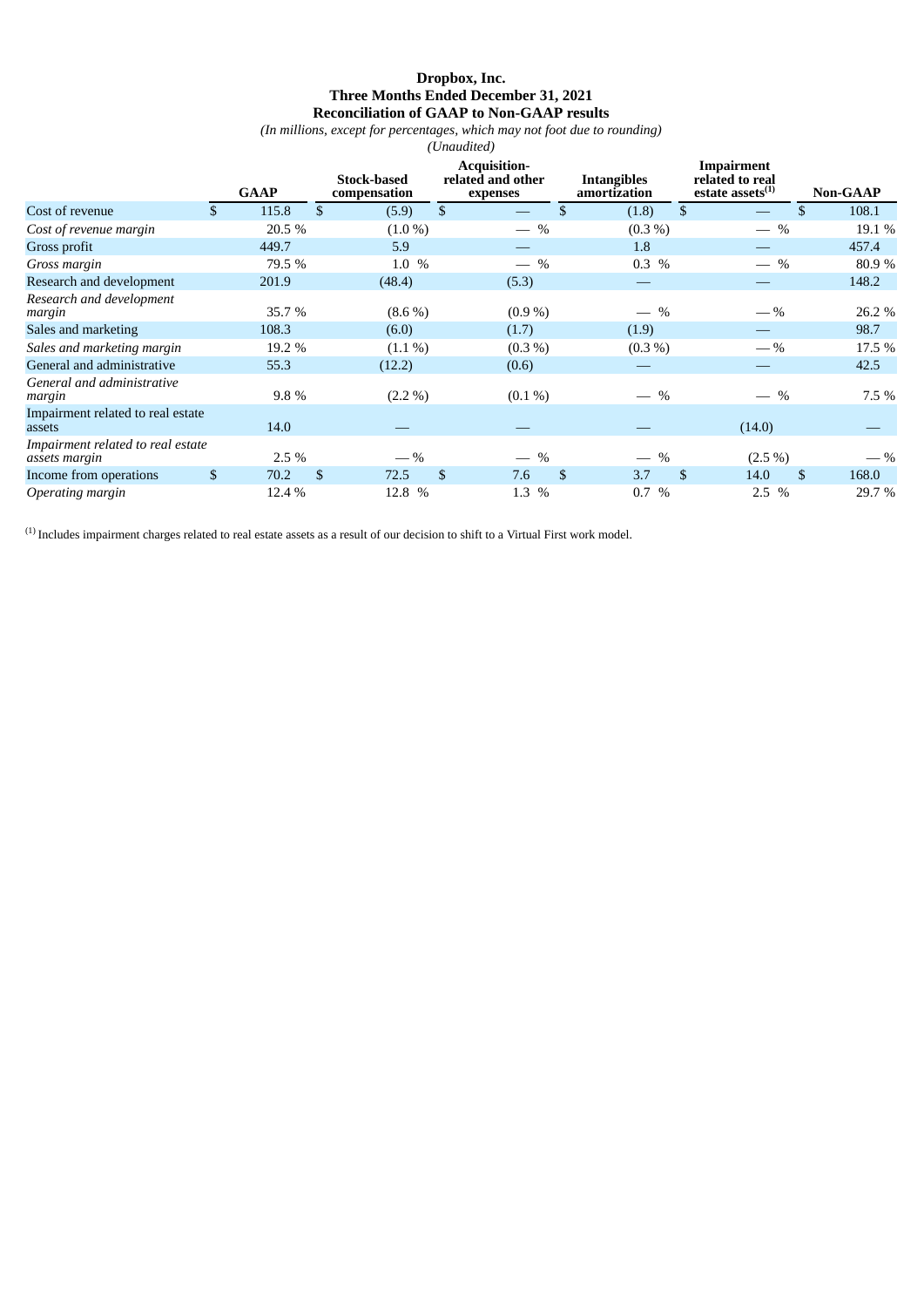### **Dropbox, Inc. Three Months Ended December 31, 2021 Reconciliation of GAAP to Non-GAAP results**

*(In millions, except for percentages, which may not foot due to rounding)*

|                                                    |             |                |                                    |                | (Unaudited)                                          |                                       |                |                                                         |                 |
|----------------------------------------------------|-------------|----------------|------------------------------------|----------------|------------------------------------------------------|---------------------------------------|----------------|---------------------------------------------------------|-----------------|
|                                                    | <b>GAAP</b> |                | <b>Stock-based</b><br>compensation |                | <b>Acquisition-</b><br>related and other<br>expenses | <b>Intangibles</b><br>amortization    |                | Impairment<br>related to real<br>estate assets $^{(1)}$ | <b>Non-GAAP</b> |
| Cost of revenue                                    | \$<br>115.8 | $\mathfrak{S}$ | (5.9)                              | $\mathfrak{S}$ |                                                      | \$<br>(1.8)                           | $\mathfrak{S}$ | \$                                                      | 108.1           |
| Cost of revenue margin                             | 20.5 %      |                | $(1.0\%)$                          |                | $-$ %                                                | $(0.3\%)$                             |                | $-$ %                                                   | 19.1 %          |
| Gross profit                                       | 449.7       |                | 5.9                                |                |                                                      | 1.8                                   |                |                                                         | 457.4           |
| Gross margin                                       | 79.5 %      |                | 1.0 %                              |                | $-$ %                                                | $0.3\%$                               |                | $\%$                                                    | 80.9%           |
| Research and development                           | 201.9       |                | (48.4)                             |                | (5.3)                                                |                                       |                |                                                         | 148.2           |
| Research and development<br>margin                 | 35.7%       |                | $(8.6\%)$                          |                | $(0.9\%)$                                            | $\%$                                  |                | $-$ %                                                   | 26.2 %          |
| Sales and marketing                                | 108.3       |                | (6.0)                              |                | (1.7)                                                | (1.9)                                 |                |                                                         | 98.7            |
| Sales and marketing margin                         | 19.2 %      |                | $(1.1\%)$                          |                | $(0.3\%)$                                            | $(0.3\%)$                             |                | $-$ %                                                   | 17.5 %          |
| General and administrative                         | 55.3        |                | (12.2)                             |                | (0.6)                                                |                                       |                |                                                         | 42.5            |
| General and administrative<br>margin               | 9.8%        |                | $(2.2\%)$                          |                | $(0.1\%)$                                            | $\%$                                  |                | $\%$                                                    | 7.5 %           |
| Impairment related to real estate<br>assets        | 14.0        |                |                                    |                |                                                      |                                       |                | (14.0)                                                  |                 |
| Impairment related to real estate<br>assets margin | 2.5 %       |                | $-$ %                              |                | %<br>$\qquad \qquad$                                 | $\%$<br>$\overbrace{\phantom{aaaaa}}$ |                | $(2.5\%)$                                               | $-$ %           |
| Income from operations                             | \$<br>70.2  | \$             | 72.5                               | \$             | 7.6                                                  | \$<br>3.7                             | \$             | 14.0<br><sup>\$</sup>                                   | 168.0           |
| Operating margin                                   | 12.4 %      |                | 12.8 %                             |                | 1.3 %                                                | $\%$<br>0.7                           |                | $2.5\%$                                                 | 29.7%           |

 $^{(1)}$  Includes impairment charges related to real estate assets as a result of our decision to shift to a Virtual First work model.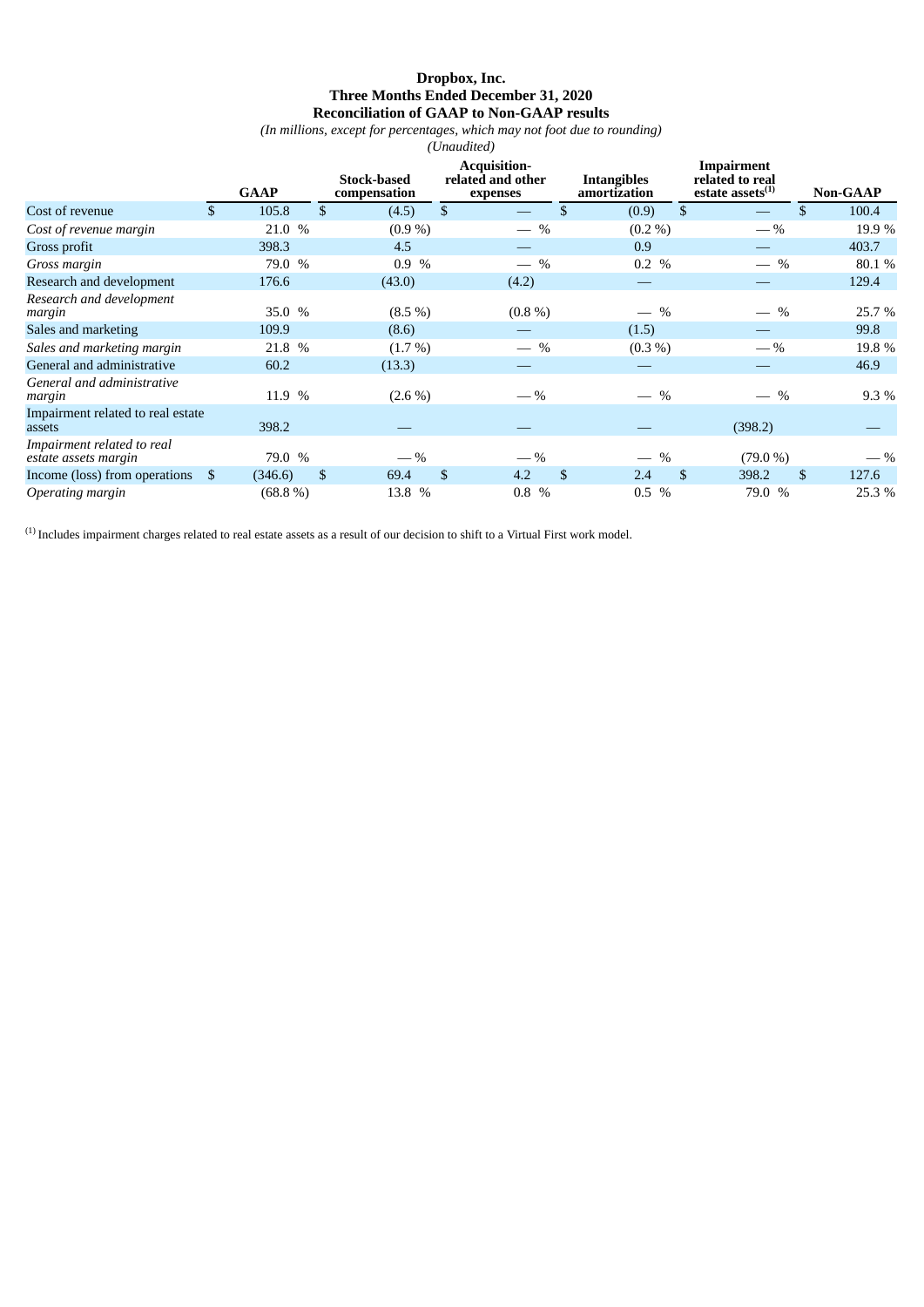### **Dropbox, Inc. Three Months Ended December 31, 2020 Reconciliation of GAAP to Non-GAAP results**

*(In millions, except for percentages, which may not foot due to rounding)*

|                                                    |             |               |                                    |                | (Unaudited)                                          |                |                                    |                |                                                         |                 |
|----------------------------------------------------|-------------|---------------|------------------------------------|----------------|------------------------------------------------------|----------------|------------------------------------|----------------|---------------------------------------------------------|-----------------|
|                                                    | <b>GAAP</b> |               | <b>Stock-based</b><br>compensation |                | <b>Acquisition-</b><br>related and other<br>expenses |                | <b>Intangibles</b><br>amortization |                | Impairment<br>related to real<br>estate assets $^{(1)}$ | <b>Non-GAAP</b> |
| Cost of revenue                                    | \$<br>105.8 | $\mathcal{S}$ | (4.5)                              | $\mathfrak{S}$ |                                                      | \$             | (0.9)                              | $\mathfrak{S}$ | \$                                                      | 100.4           |
| Cost of revenue margin                             | 21.0 %      |               | $(0.9\%)$                          |                | $-$ %                                                |                | $(0.2\% )$                         |                | $-$ %                                                   | 19.9 %          |
| Gross profit                                       | 398.3       |               | 4.5                                |                |                                                      |                | 0.9                                |                |                                                         | 403.7           |
| Gross margin                                       | 79.0 %      |               | 0.9%                               |                | $-$ %                                                |                | 0.2 %                              |                | $\%$<br>$\overline{\phantom{0}}$                        | 80.1%           |
| Research and development                           | 176.6       |               | (43.0)                             |                | (4.2)                                                |                |                                    |                |                                                         | 129.4           |
| Research and development<br>margin                 | 35.0 %      |               | $(8.5\%)$                          |                | $(0.8\%)$                                            |                | $-$ %                              |                | $\%$                                                    | 25.7 %          |
| Sales and marketing                                | 109.9       |               | (8.6)                              |                |                                                      |                | (1.5)                              |                |                                                         | 99.8            |
| Sales and marketing margin                         | 21.8 %      |               | $(1.7\%)$                          |                | $-$ %                                                |                | $(0.3\%)$                          |                | $-$ %                                                   | 19.8 %          |
| General and administrative                         | 60.2        |               | (13.3)                             |                |                                                      |                |                                    |                |                                                         | 46.9            |
| General and administrative<br>margin               | 11.9 %      |               | $(2.6\%)$                          |                | $-$ %                                                |                | $-$ %                              |                | $\%$                                                    | 9.3 %           |
| Impairment related to real estate<br>assets        | 398.2       |               |                                    |                |                                                      |                |                                    |                | (398.2)                                                 |                 |
| Impairment related to real<br>estate assets margin | 79.0 %      |               | $-$ %                              |                | $-$ %                                                |                | $\%$                               |                | (79.0 %)                                                | $-$ %           |
| Income (loss) from operations \$                   | (346.6)     | \$            | 69.4                               | $\mathbb{S}$   | 4.2                                                  | $\mathfrak{S}$ | 2.4                                | $\mathfrak{S}$ | 398.2<br>\$                                             | 127.6           |
| Operating margin                                   | $(68.8\%)$  |               | 13.8 %                             |                | $\%$<br>0.8                                          |                | $0.5\%$                            |                | 79.0 %                                                  | 25.3 %          |

 $^{(1)}$  Includes impairment charges related to real estate assets as a result of our decision to shift to a Virtual First work model.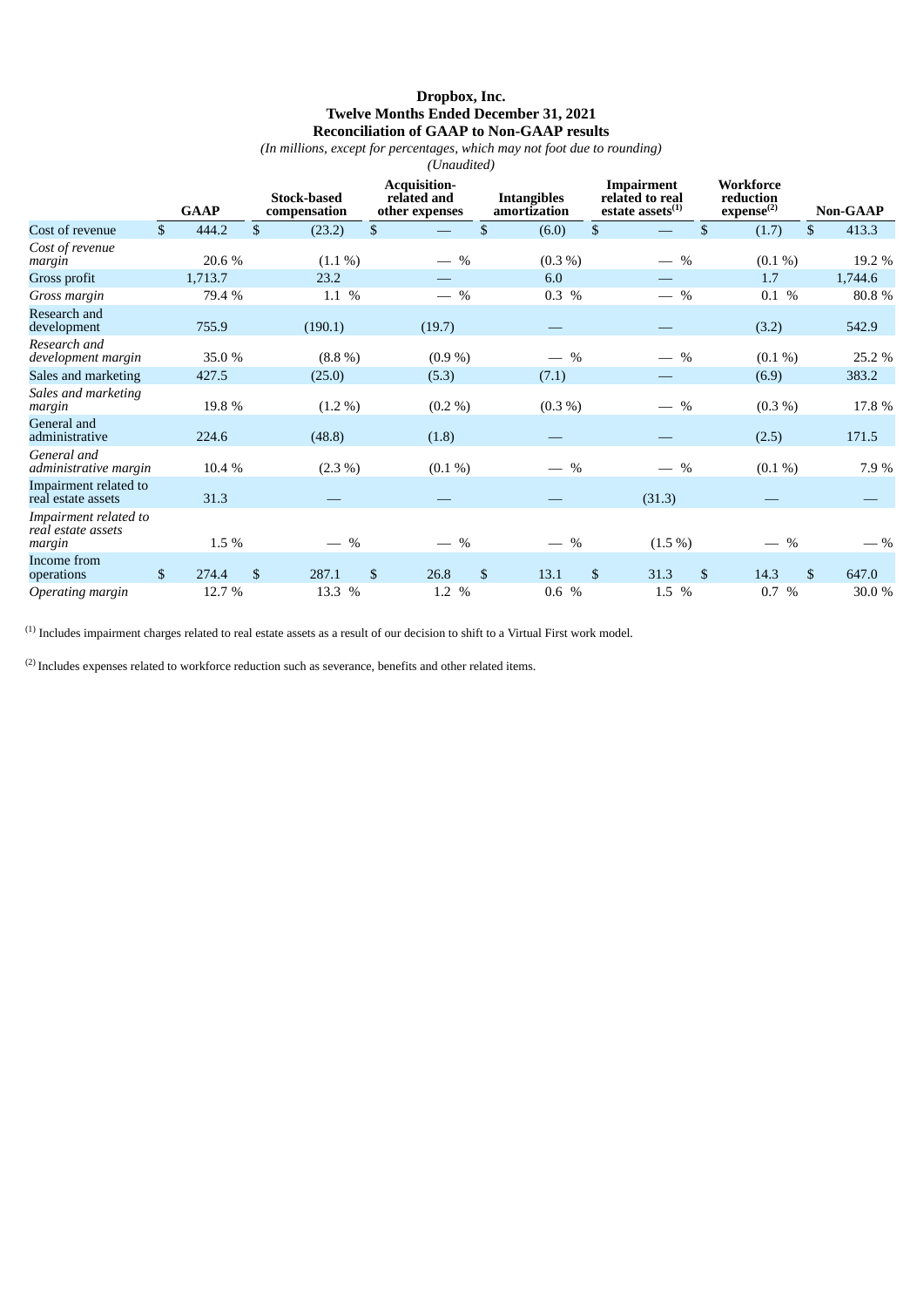# **Dropbox, Inc. Twelve Months Ended December 31, 2021 Reconciliation of GAAP to Non-GAAP results**

*(In millions, except for percentages, which may not foot due to rounding)*

|                                                       |              |             |              |                                    |                | (Unaudited)                                          |              |                                        |                |                                                                |      |                                                  |                |                 |
|-------------------------------------------------------|--------------|-------------|--------------|------------------------------------|----------------|------------------------------------------------------|--------------|----------------------------------------|----------------|----------------------------------------------------------------|------|--------------------------------------------------|----------------|-----------------|
|                                                       |              | <b>GAAP</b> |              | <b>Stock-based</b><br>compensation |                | <b>Acquisition-</b><br>related and<br>other expenses |              | <b>Intangibles</b><br>amortization     |                | <b>Impairment</b><br>related to real<br>estate assets $^{(1)}$ |      | Workforce<br>reduction<br>expense <sup>(2)</sup> |                | <b>Non-GAAP</b> |
| Cost of revenue                                       | $\mathbb{S}$ | 444.2       | $\mathbb{S}$ | (23.2)                             | $\mathfrak{S}$ |                                                      | \$           | (6.0)                                  | $\mathfrak{s}$ |                                                                | \$   | (1.7)                                            | \$             | 413.3           |
| Cost of revenue<br>margin                             |              | 20.6 %      |              | $(1.1\%)$                          |                | $\%$<br>$\hspace{0.05cm}$                            |              | $(0.3\%)$                              |                |                                                                | $\%$ | $(0.1\%)$                                        |                | 19.2 %          |
| Gross profit                                          |              | 1,713.7     |              | 23.2                               |                |                                                      |              | 6.0                                    |                |                                                                |      | 1.7                                              |                | 1,744.6         |
| Gross margin                                          |              | 79.4 %      |              | $1.1~\%$                           |                | $\%$                                                 |              | 0.3 %                                  |                | $-$ %                                                          |      | 0.1 %                                            |                | 80.8%           |
| Research and<br>development                           |              | 755.9       |              | (190.1)                            |                | (19.7)                                               |              |                                        |                |                                                                |      | (3.2)                                            |                | 542.9           |
| Research and<br>development margin                    |              | 35.0 %      |              | $(8.8\%)$                          |                | $(0.9\%)$                                            |              | $\%$<br>$\overbrace{\phantom{123331}}$ |                | $-$ %                                                          |      | $(0.1\%)$                                        |                | 25.2 %          |
| Sales and marketing                                   |              | 427.5       |              | (25.0)                             |                | (5.3)                                                |              | (7.1)                                  |                |                                                                |      | (6.9)                                            |                | 383.2           |
| Sales and marketing<br>margin                         |              | 19.8 %      |              | $(1.2\%)$                          |                | (0.2 %)                                              |              | $(0.3\%)$                              |                | $-$ %                                                          |      | $(0.3\%)$                                        |                | 17.8 %          |
| General and<br>administrative                         |              | 224.6       |              | (48.8)                             |                | (1.8)                                                |              |                                        |                |                                                                |      | (2.5)                                            |                | 171.5           |
| General and<br>administrative margin                  |              | 10.4 %      |              | $(2.3\%)$                          |                | $(0.1\%)$                                            |              | $\%$                                   |                | $-$ %                                                          |      | $(0.1\%)$                                        |                | 7.9%            |
| Impairment related to<br>real estate assets           |              | 31.3        |              |                                    |                |                                                      |              |                                        |                | (31.3)                                                         |      |                                                  |                |                 |
| Impairment related to<br>real estate assets<br>margin |              | 1.5 %       |              | $\%$                               |                | $\%$                                                 |              | $\%$<br>$\equiv$                       |                | $(1.5\%)$                                                      |      | $\%$                                             |                | $-$ %           |
| Income from<br>operations                             | $\mathbb{S}$ | 274.4       | $\mathbb{S}$ | 287.1                              | $\mathfrak{S}$ | 26.8                                                 | $\mathbb{S}$ | 13.1                                   | $\mathbb{S}$   | 31.3                                                           | \$   | 14.3                                             | $\mathfrak{S}$ | 647.0           |
| Operating margin                                      |              | 12.7 %      |              | 13.3 %                             |                | 1.2 %                                                |              | 0.6 %                                  |                | 1.5 %                                                          |      | $0.7\%$                                          |                | 30.0%           |

 $^{(1)}$  Includes impairment charges related to real estate assets as a result of our decision to shift to a Virtual First work model.

 $^{(2)}$  Includes expenses related to workforce reduction such as severance, benefits and other related items.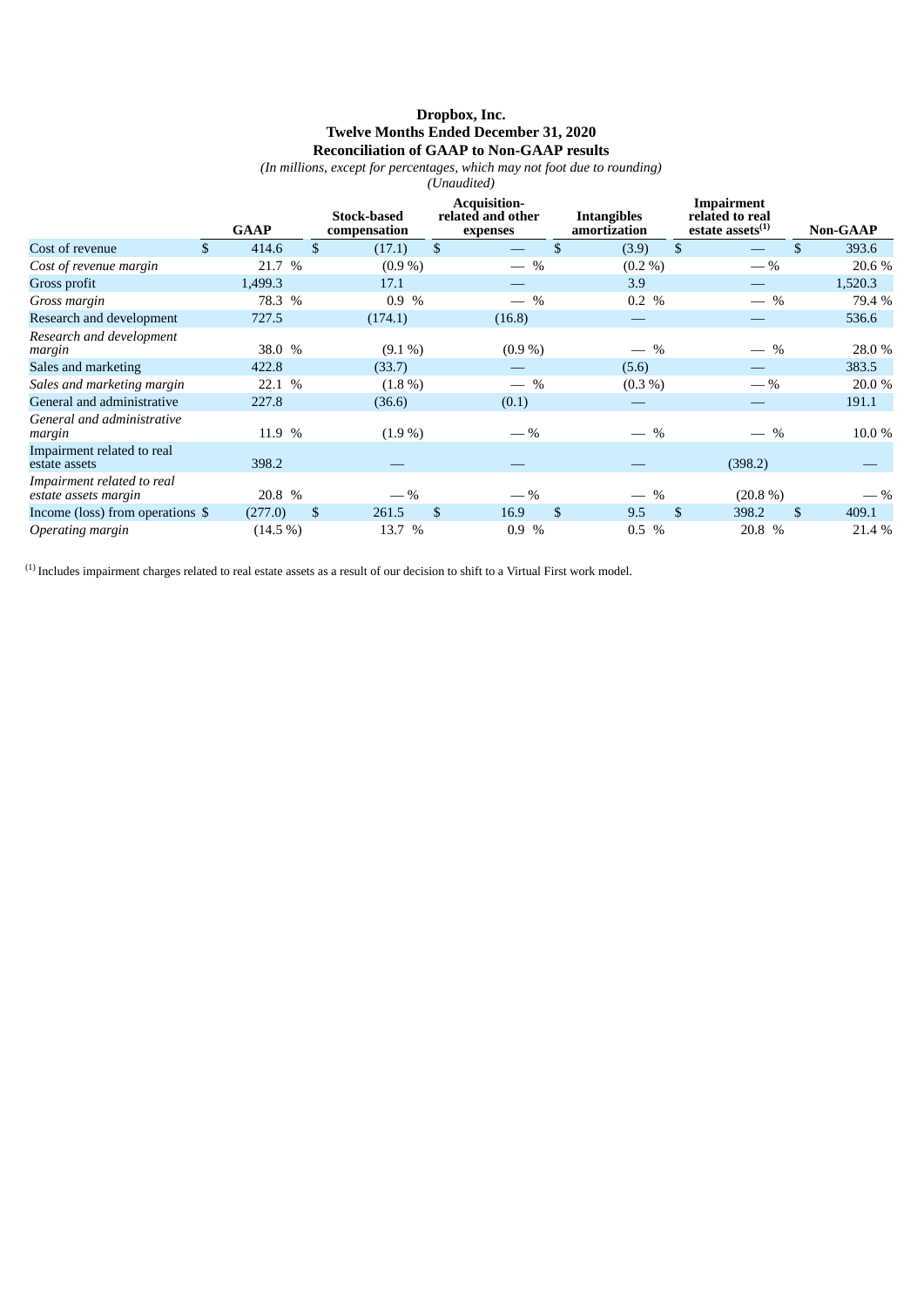## **Dropbox, Inc. Twelve Months Ended December 31, 2020 Reconciliation of GAAP to Non-GAAP results**

*(In millions, except for percentages, which may not foot due to rounding)*

|                                                    | (Unaudited) |             |                |                                    |    |                                                      |    |                                       |                |                                                         |    |                 |  |
|----------------------------------------------------|-------------|-------------|----------------|------------------------------------|----|------------------------------------------------------|----|---------------------------------------|----------------|---------------------------------------------------------|----|-----------------|--|
|                                                    |             | <b>GAAP</b> |                | <b>Stock-based</b><br>compensation |    | <b>Acquisition-</b><br>related and other<br>expenses |    | <b>Intangibles</b><br>amortization    |                | Impairment<br>related to real<br>estate assets $^{(1)}$ |    | <b>Non-GAAP</b> |  |
| Cost of revenue                                    | \$.         | 414.6       | $\mathfrak{L}$ | (17.1)                             | \$ |                                                      | \$ | (3.9)                                 | $\mathfrak{S}$ |                                                         | \$ | 393.6           |  |
| Cost of revenue margin                             |             | 21.7 %      |                | $(0.9\%)$                          |    | $-$ %                                                |    | $(0.2\% )$                            |                | $-$ %                                                   |    | 20.6 %          |  |
| Gross profit                                       |             | 1,499.3     |                | 17.1                               |    |                                                      |    | 3.9                                   |                |                                                         |    | 1,520.3         |  |
| Gross margin                                       |             | 78.3 %      |                | 0.9%                               |    | $-$ %                                                |    | 0.2 %                                 |                | $-$ %                                                   |    | 79.4 %          |  |
| Research and development                           |             | 727.5       |                | (174.1)                            |    | (16.8)                                               |    |                                       |                |                                                         |    | 536.6           |  |
| Research and development<br>margin                 |             | 38.0 %      |                | $(9.1\%)$                          |    | $(0.9\%)$                                            |    | $-$ %                                 |                | $-$ %                                                   |    | 28.0 %          |  |
| Sales and marketing                                |             | 422.8       |                | (33.7)                             |    |                                                      |    | (5.6)                                 |                |                                                         |    | 383.5           |  |
| Sales and marketing margin                         |             | 22.1 %      |                | $(1.8\%)$                          |    | $-$ %                                                |    | $(0.3\%)$                             |                | $-$ %                                                   |    | 20.0 %          |  |
| General and administrative                         |             | 227.8       |                | (36.6)                             |    | (0.1)                                                |    |                                       |                |                                                         |    | 191.1           |  |
| General and administrative<br>margin               |             | 11.9 %      |                | $(1.9\%)$                          |    | $-$ %                                                |    | $\frac{0}{0}$                         |                | $\frac{0}{0}$                                           |    | 10.0 %          |  |
| Impairment related to real<br>estate assets        |             | 398.2       |                |                                    |    |                                                      |    |                                       |                | (398.2)                                                 |    |                 |  |
| Impairment related to real<br>estate assets margin |             | 20.8 %      |                | $-$ %                              |    | $-$ %                                                |    | $\%$<br>$\overbrace{\phantom{13333}}$ |                | $(20.8\%)$                                              |    | $-$ %           |  |
| Income (loss) from operations \$                   |             | (277.0)     | <sup>\$</sup>  | 261.5                              | \$ | 16.9                                                 | \$ | 9.5                                   | \$             | 398.2                                                   | \$ | 409.1           |  |
| Operating margin                                   |             | $(14.5\%)$  |                | 13.7<br>$\frac{0}{0}$              |    | $\%$<br>0.9                                          |    | $\frac{0}{0}$<br>0.5                  |                | 20.8 %                                                  |    | 21.4 %          |  |

 $^{(1)}$  Includes impairment charges related to real estate assets as a result of our decision to shift to a Virtual First work model.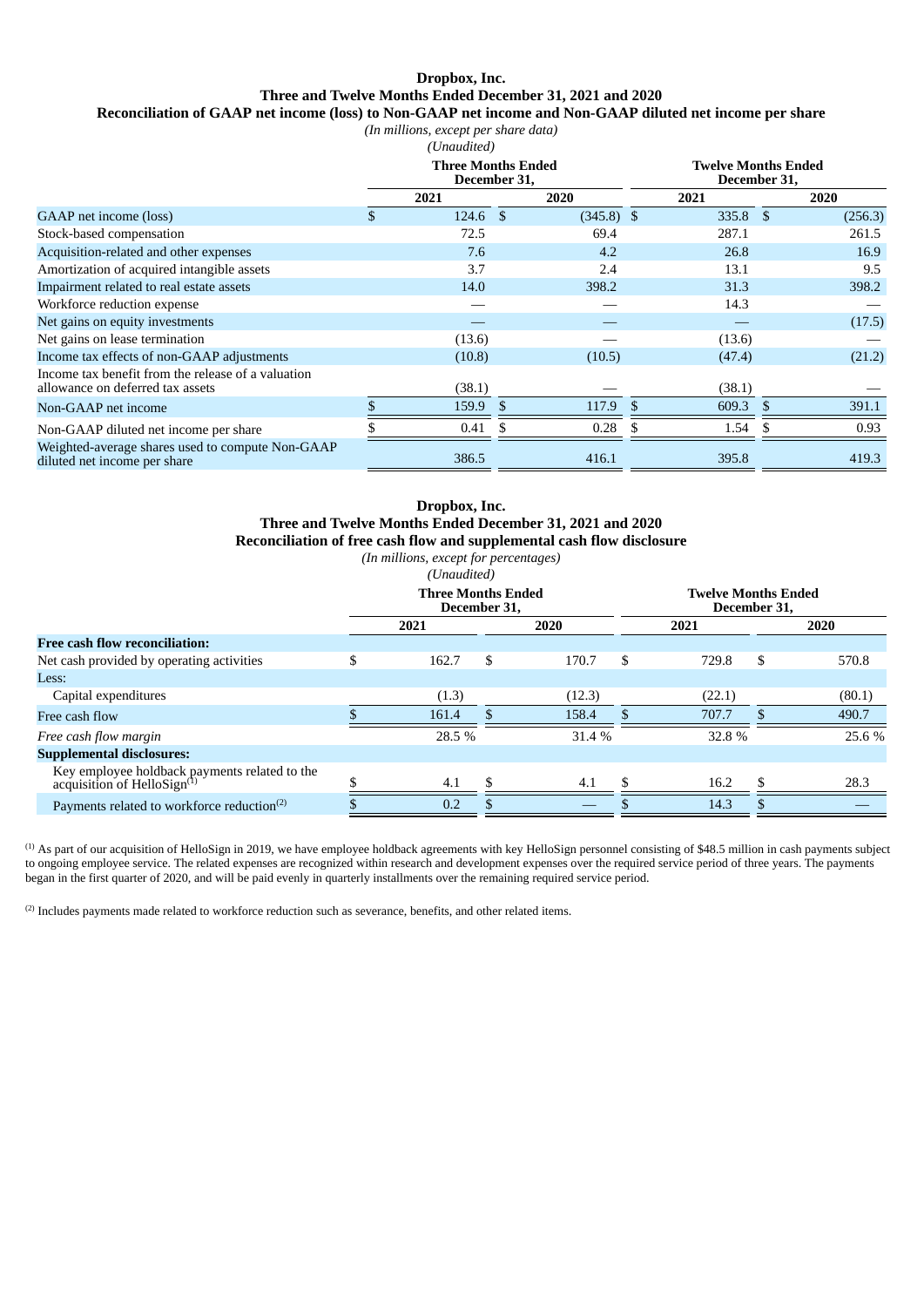# **Dropbox, Inc. Three and Twelve Months Ended December 31, 2021 and 2020**

**Reconciliation of GAAP net income (loss) to Non-GAAP net income and Non-GAAP diluted net income per share**

| (In millions, except per share data) |  |  |
|--------------------------------------|--|--|
|                                      |  |  |

|                                                                                        | (Unaudited)                               |              |            |                                            |         |  |
|----------------------------------------------------------------------------------------|-------------------------------------------|--------------|------------|--------------------------------------------|---------|--|
|                                                                                        | <b>Three Months Ended</b><br>December 31, |              |            | <b>Twelve Months Ended</b><br>December 31, |         |  |
|                                                                                        | 2021                                      | 2020         | 2021       |                                            | 2020    |  |
| GAAP net income (loss)                                                                 | \$<br>$124.6$ \$                          | $(345.8)$ \$ | $335.8$ \$ |                                            | (256.3) |  |
| Stock-based compensation                                                               | 72.5                                      | 69.4         | 287.1      |                                            | 261.5   |  |
| Acquisition-related and other expenses                                                 | 7.6                                       | 4.2          | 26.8       |                                            | 16.9    |  |
| Amortization of acquired intangible assets                                             | 3.7                                       | 2.4          | 13.1       |                                            | 9.5     |  |
| Impairment related to real estate assets                                               | 14.0                                      | 398.2        | 31.3       |                                            | 398.2   |  |
| Workforce reduction expense                                                            |                                           |              | 14.3       |                                            |         |  |
| Net gains on equity investments                                                        |                                           |              |            |                                            | (17.5)  |  |
| Net gains on lease termination                                                         | (13.6)                                    |              | (13.6)     |                                            |         |  |
| Income tax effects of non-GAAP adjustments                                             | (10.8)                                    | (10.5)       | (47.4)     |                                            | (21.2)  |  |
| Income tax benefit from the release of a valuation<br>allowance on deferred tax assets | (38.1)                                    |              | (38.1)     |                                            |         |  |
| Non-GAAP net income                                                                    | 159.9                                     | \$<br>117.9  | 609.3      | \$.                                        | 391.1   |  |
| Non-GAAP diluted net income per share                                                  | 0.41                                      | 0.28         | 1.54       |                                            | 0.93    |  |
| Weighted-average shares used to compute Non-GAAP<br>diluted net income per share       | 386.5                                     | 416.1        | 395.8      |                                            | 419.3   |  |

### **Dropbox, Inc. Three and Twelve Months Ended December 31, 2021 and 2020 Reconciliation of free cash flow and supplemental cash flow disclosure** *(In millions, except for percentages)*

*(Unaudited)*

|                                                                                          | <b>Three Months Ended</b><br>December 31, |        |   |        | <b>Twelve Months Ended</b><br>December 31, |        |     |        |
|------------------------------------------------------------------------------------------|-------------------------------------------|--------|---|--------|--------------------------------------------|--------|-----|--------|
|                                                                                          |                                           | 2021   |   | 2020   |                                            | 2021   |     | 2020   |
| <b>Free cash flow reconciliation:</b>                                                    |                                           |        |   |        |                                            |        |     |        |
| Net cash provided by operating activities                                                | \$                                        | 162.7  | S | 170.7  | S                                          | 729.8  | S   | 570.8  |
| Less:                                                                                    |                                           |        |   |        |                                            |        |     |        |
| Capital expenditures                                                                     |                                           | (1.3)  |   | (12.3) |                                            | (22.1) |     | (80.1) |
| Free cash flow                                                                           |                                           | 161.4  |   | 158.4  |                                            | 707.7  |     | 490.7  |
| Free cash flow margin                                                                    |                                           | 28.5 % |   | 31.4 % |                                            | 32.8 % |     | 25.6 % |
| <b>Supplemental disclosures:</b>                                                         |                                           |        |   |        |                                            |        |     |        |
| Key employee holdback payments related to the<br>acquisition of HelloSign <sup>(I)</sup> |                                           | 4.1    |   | 4.1    |                                            | 16.2   | \$. | 28.3   |
| Payments related to workforce reduction <sup>(2)</sup>                                   |                                           | 0.2    |   |        |                                            | 14.3   | S   |        |

 $(1)$  As part of our acquisition of HelloSign in 2019, we have employee holdback agreements with key HelloSign personnel consisting of \$48.5 million in cash payments subject to ongoing employee service. The related expenses are recognized within research and development expenses over the required service period of three years. The payments began in the first quarter of 2020, and will be paid evenly in quarterly installments over the remaining required service period.

 $^{(2)}$  Includes payments made related to workforce reduction such as severance, benefits, and other related items.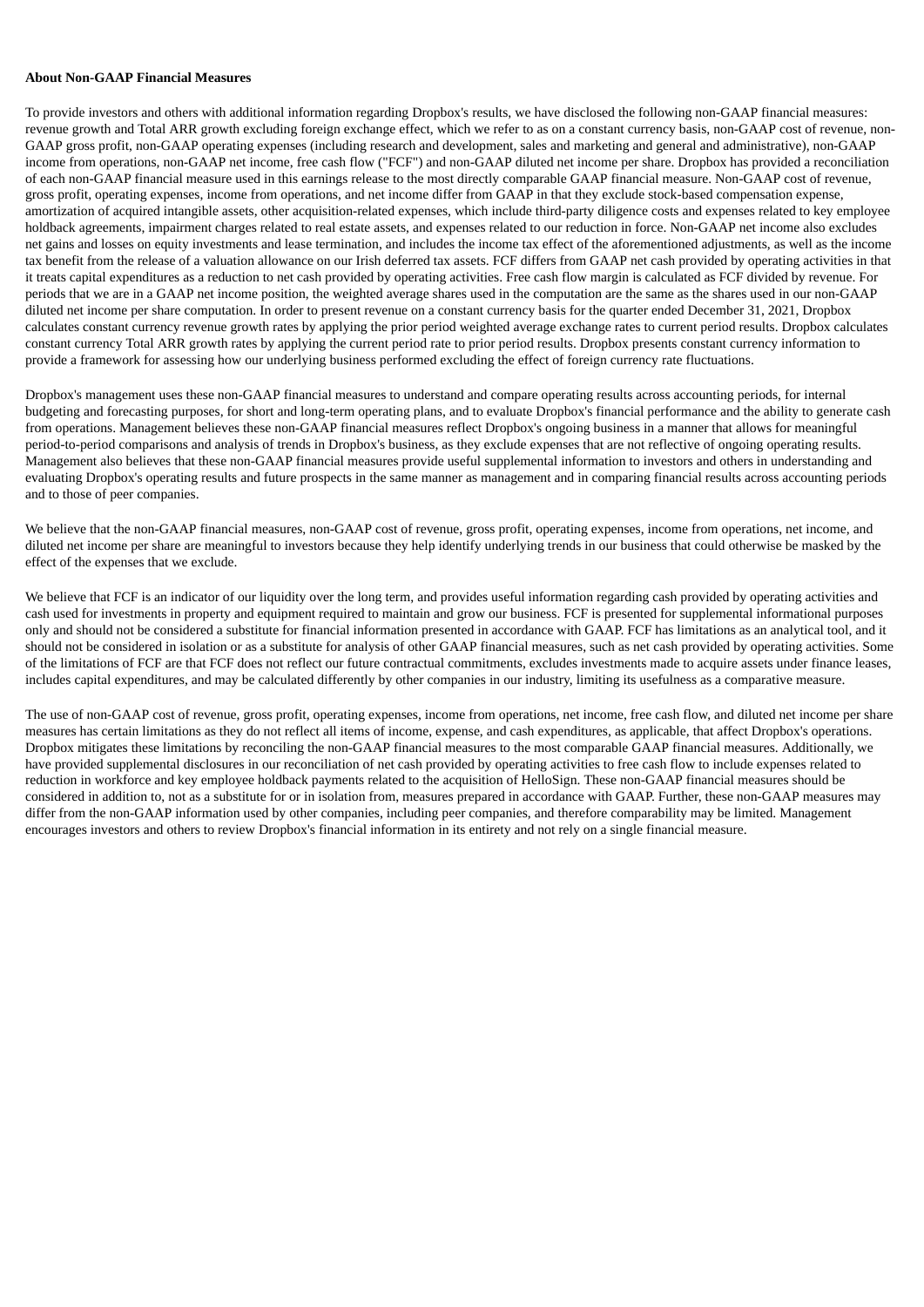#### **About Non-GAAP Financial Measures**

To provide investors and others with additional information regarding Dropbox's results, we have disclosed the following non-GAAP financial measures: revenue growth and Total ARR growth excluding foreign exchange effect, which we refer to as on a constant currency basis, non-GAAP cost of revenue, non-GAAP gross profit, non-GAAP operating expenses (including research and development, sales and marketing and general and administrative), non-GAAP income from operations, non-GAAP net income, free cash flow ("FCF") and non-GAAP diluted net income per share. Dropbox has provided a reconciliation of each non-GAAP financial measure used in this earnings release to the most directly comparable GAAP financial measure. Non-GAAP cost of revenue, gross profit, operating expenses, income from operations, and net income differ from GAAP in that they exclude stock-based compensation expense, amortization of acquired intangible assets, other acquisition-related expenses, which include third-party diligence costs and expenses related to key employee holdback agreements, impairment charges related to real estate assets, and expenses related to our reduction in force. Non-GAAP net income also excludes net gains and losses on equity investments and lease termination, and includes the income tax effect of the aforementioned adjustments, as well as the income tax benefit from the release of a valuation allowance on our Irish deferred tax assets. FCF differs from GAAP net cash provided by operating activities in that it treats capital expenditures as a reduction to net cash provided by operating activities. Free cash flow margin is calculated as FCF divided by revenue. For periods that we are in a GAAP net income position, the weighted average shares used in the computation are the same as the shares used in our non-GAAP diluted net income per share computation. In order to present revenue on a constant currency basis for the quarter ended December 31, 2021, Dropbox calculates constant currency revenue growth rates by applying the prior period weighted average exchange rates to current period results. Dropbox calculates constant currency Total ARR growth rates by applying the current period rate to prior period results. Dropbox presents constant currency information to provide a framework for assessing how our underlying business performed excluding the effect of foreign currency rate fluctuations.

Dropbox's management uses these non-GAAP financial measures to understand and compare operating results across accounting periods, for internal budgeting and forecasting purposes, for short and long-term operating plans, and to evaluate Dropbox's financial performance and the ability to generate cash from operations. Management believes these non-GAAP financial measures reflect Dropbox's ongoing business in a manner that allows for meaningful period-to-period comparisons and analysis of trends in Dropbox's business, as they exclude expenses that are not reflective of ongoing operating results. Management also believes that these non-GAAP financial measures provide useful supplemental information to investors and others in understanding and evaluating Dropbox's operating results and future prospects in the same manner as management and in comparing financial results across accounting periods and to those of peer companies.

We believe that the non-GAAP financial measures, non-GAAP cost of revenue, gross profit, operating expenses, income from operations, net income, and diluted net income per share are meaningful to investors because they help identify underlying trends in our business that could otherwise be masked by the effect of the expenses that we exclude.

We believe that FCF is an indicator of our liquidity over the long term, and provides useful information regarding cash provided by operating activities and cash used for investments in property and equipment required to maintain and grow our business. FCF is presented for supplemental informational purposes only and should not be considered a substitute for financial information presented in accordance with GAAP. FCF has limitations as an analytical tool, and it should not be considered in isolation or as a substitute for analysis of other GAAP financial measures, such as net cash provided by operating activities. Some of the limitations of FCF are that FCF does not reflect our future contractual commitments, excludes investments made to acquire assets under finance leases, includes capital expenditures, and may be calculated differently by other companies in our industry, limiting its usefulness as a comparative measure.

The use of non-GAAP cost of revenue, gross profit, operating expenses, income from operations, net income, free cash flow, and diluted net income per share measures has certain limitations as they do not reflect all items of income, expense, and cash expenditures, as applicable, that affect Dropbox's operations. Dropbox mitigates these limitations by reconciling the non-GAAP financial measures to the most comparable GAAP financial measures. Additionally, we have provided supplemental disclosures in our reconciliation of net cash provided by operating activities to free cash flow to include expenses related to reduction in workforce and key employee holdback payments related to the acquisition of HelloSign. These non-GAAP financial measures should be considered in addition to, not as a substitute for or in isolation from, measures prepared in accordance with GAAP. Further, these non-GAAP measures may differ from the non-GAAP information used by other companies, including peer companies, and therefore comparability may be limited. Management encourages investors and others to review Dropbox's financial information in its entirety and not rely on a single financial measure.